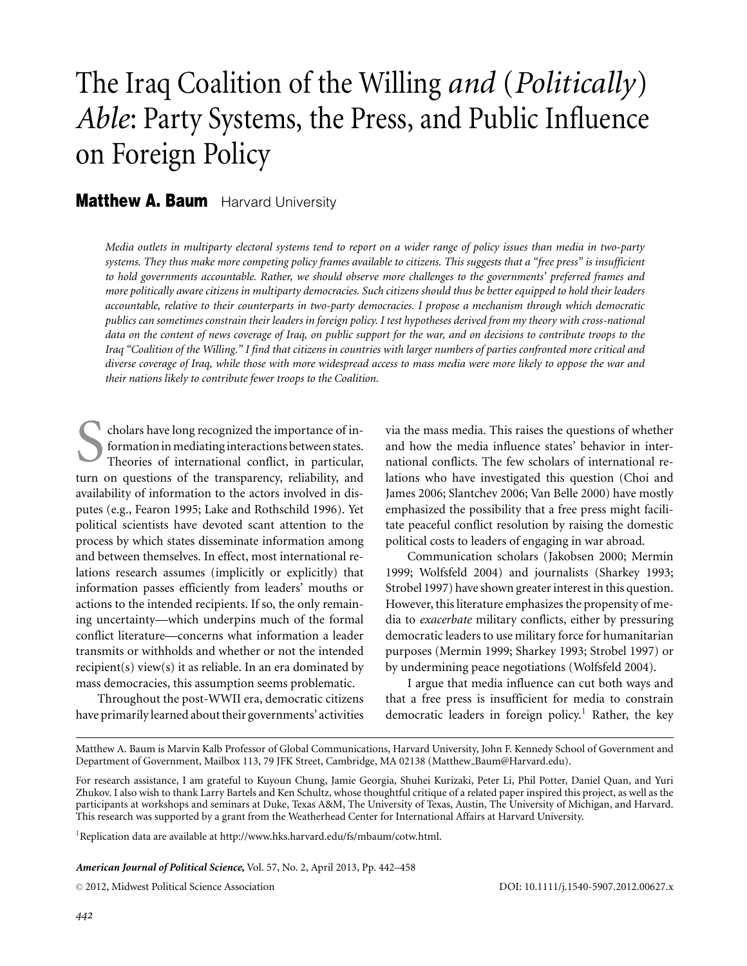# The Iraq Coalition of the Willing *and* (*Politically*) *Able*: Party Systems, the Press, and Public Influence on Foreign Policy

## **Matthew A. Baum** Harvard University

*Media outlets in multiparty electoral systems tend to report on a wider range of policy issues than media in two-party systems. They thus make more competing policy frames available to citizens. This suggests that a "free press" is insufficient to hold governments accountable. Rather, we should observe more challenges to the governments' preferred frames and more politically aware citizens in multiparty democracies. Such citizens should thus be better equipped to hold their leaders accountable, relative to their counterparts in two-party democracies. I propose a mechanism through which democratic publics can sometimes constrain their leaders in foreign policy. I test hypotheses derived from my theory with cross-national data on the content of news coverage of Iraq, on public support for the war, and on decisions to contribute troops to the Iraq "Coalition of the Willing." I find that citizens in countries with larger numbers of parties confronted more critical and diverse coverage of Iraq, while those with more widespread access to mass media were more likely to oppose the war and their nations likely to contribute fewer troops to the Coalition.*

Scholars have long recognized the importance of in-<br>formation in mediating interactions between states.<br>Theories of international conflict, in particular,<br>turn on questions of the transporance reliability and formation in mediating interactions between states. Theories of international conflict, in particular, turn on questions of the transparency, reliability, and availability of information to the actors involved in disputes (e.g., Fearon 1995; Lake and Rothschild 1996). Yet political scientists have devoted scant attention to the process by which states disseminate information among and between themselves. In effect, most international relations research assumes (implicitly or explicitly) that information passes efficiently from leaders' mouths or actions to the intended recipients. If so, the only remaining uncertainty—which underpins much of the formal conflict literature—concerns what information a leader transmits or withholds and whether or not the intended recipient(s) view(s) it as reliable. In an era dominated by mass democracies, this assumption seems problematic.

Throughout the post-WWII era, democratic citizens have primarily learned about their governments' activities via the mass media. This raises the questions of whether and how the media influence states' behavior in international conflicts. The few scholars of international relations who have investigated this question (Choi and James 2006; Slantchev 2006; Van Belle 2000) have mostly emphasized the possibility that a free press might facilitate peaceful conflict resolution by raising the domestic political costs to leaders of engaging in war abroad.

Communication scholars (Jakobsen 2000; Mermin 1999; Wolfsfeld 2004) and journalists (Sharkey 1993; Strobel 1997) have shown greater interest in this question. However, this literature emphasizes the propensity of media to *exacerbate* military conflicts, either by pressuring democratic leaders to use military force for humanitarian purposes (Mermin 1999; Sharkey 1993; Strobel 1997) or by undermining peace negotiations (Wolfsfeld 2004).

I argue that media influence can cut both ways and that a free press is insufficient for media to constrain democratic leaders in foreign policy.<sup>1</sup> Rather, the key

<sup>1</sup>Replication data are available at http://www.hks.harvard.edu/fs/mbaum/cotw.html.

*American Journal of Political Science***,** Vol. 57, No. 2, April 2013, Pp. 442–458

C 2012, Midwest Political Science Association and the control of the control of the DOI: 10.1111/j.1540-5907.2012.00627.x

Matthew A. Baum is Marvin Kalb Professor of Global Communications, Harvard University, John F. Kennedy School of Government and Department of Government, Mailbox 113, 79 JFK Street, Cambridge, MA 02138 (Matthew\_Baum@Harvard.edu).

For research assistance, I am grateful to Kuyoun Chung, Jamie Georgia, Shuhei Kurizaki, Peter Li, Phil Potter, Daniel Quan, and Yuri Zhukov. I also wish to thank Larry Bartels and Ken Schultz, whose thoughtful critique of a related paper inspired this project, as well as the participants at workshops and seminars at Duke, Texas A&M, The University of Texas, Austin, The University of Michigan, and Harvard. This research was supported by a grant from the Weatherhead Center for International Affairs at Harvard University.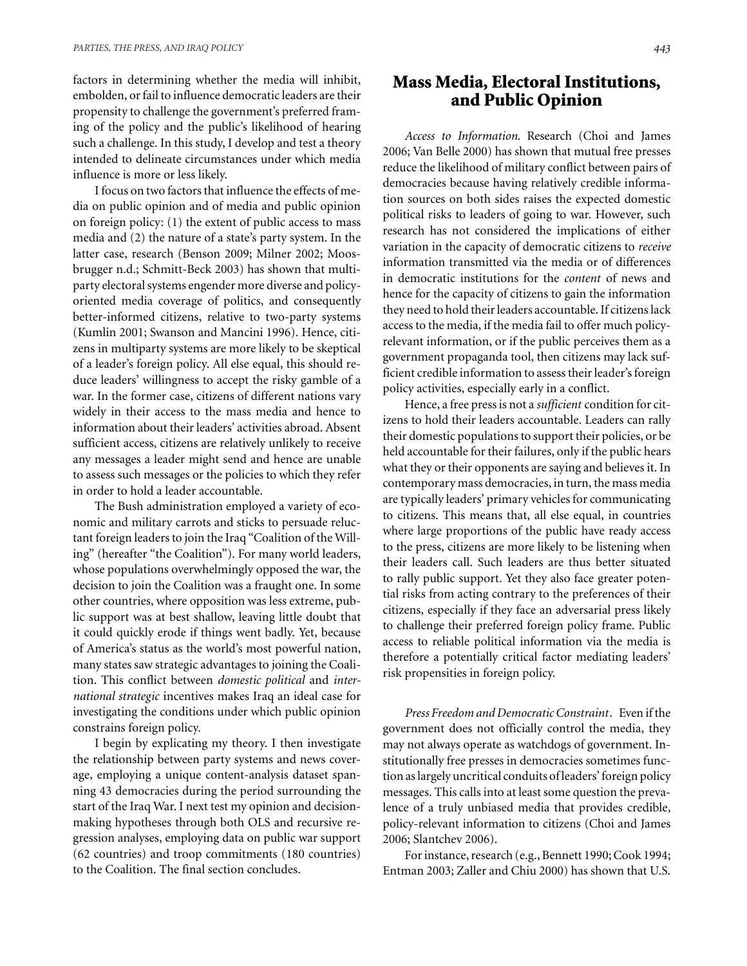factors in determining whether the media will inhibit, embolden, or fail to influence democratic leaders are their propensity to challenge the government's preferred framing of the policy and the public's likelihood of hearing such a challenge. In this study, I develop and test a theory intended to delineate circumstances under which media influence is more or less likely.

I focus on two factors that influence the effects of media on public opinion and of media and public opinion on foreign policy: (1) the extent of public access to mass media and (2) the nature of a state's party system. In the latter case, research (Benson 2009; Milner 2002; Moosbrugger n.d.; Schmitt-Beck 2003) has shown that multiparty electoral systems engender more diverse and policyoriented media coverage of politics, and consequently better-informed citizens, relative to two-party systems (Kumlin 2001; Swanson and Mancini 1996). Hence, citizens in multiparty systems are more likely to be skeptical of a leader's foreign policy. All else equal, this should reduce leaders' willingness to accept the risky gamble of a war. In the former case, citizens of different nations vary widely in their access to the mass media and hence to information about their leaders' activities abroad. Absent sufficient access, citizens are relatively unlikely to receive any messages a leader might send and hence are unable to assess such messages or the policies to which they refer in order to hold a leader accountable.

The Bush administration employed a variety of economic and military carrots and sticks to persuade reluctant foreign leaders to join the Iraq "Coalition of the Willing" (hereafter "the Coalition"). For many world leaders, whose populations overwhelmingly opposed the war, the decision to join the Coalition was a fraught one. In some other countries, where opposition was less extreme, public support was at best shallow, leaving little doubt that it could quickly erode if things went badly. Yet, because of America's status as the world's most powerful nation, many states saw strategic advantages to joining the Coalition. This conflict between *domestic political* and *international strategic* incentives makes Iraq an ideal case for investigating the conditions under which public opinion constrains foreign policy.

I begin by explicating my theory. I then investigate the relationship between party systems and news coverage, employing a unique content-analysis dataset spanning 43 democracies during the period surrounding the start of the Iraq War. I next test my opinion and decisionmaking hypotheses through both OLS and recursive regression analyses, employing data on public war support (62 countries) and troop commitments (180 countries) to the Coalition. The final section concludes.

## **Mass Media, Electoral Institutions, and Public Opinion**

*Access to Information.* Research (Choi and James 2006; Van Belle 2000) has shown that mutual free presses reduce the likelihood of military conflict between pairs of democracies because having relatively credible information sources on both sides raises the expected domestic political risks to leaders of going to war. However, such research has not considered the implications of either variation in the capacity of democratic citizens to *receive* information transmitted via the media or of differences in democratic institutions for the *content* of news and hence for the capacity of citizens to gain the information they need to hold their leaders accountable. If citizens lack access to the media, if the media fail to offer much policyrelevant information, or if the public perceives them as a government propaganda tool, then citizens may lack sufficient credible information to assess their leader's foreign policy activities, especially early in a conflict.

Hence, a free press is not a *sufficient* condition for citizens to hold their leaders accountable. Leaders can rally their domestic populations to support their policies, or be held accountable for their failures, only if the public hears what they or their opponents are saying and believes it. In contemporary mass democracies, in turn, the mass media are typically leaders' primary vehicles for communicating to citizens. This means that, all else equal, in countries where large proportions of the public have ready access to the press, citizens are more likely to be listening when their leaders call. Such leaders are thus better situated to rally public support. Yet they also face greater potential risks from acting contrary to the preferences of their citizens, especially if they face an adversarial press likely to challenge their preferred foreign policy frame. Public access to reliable political information via the media is therefore a potentially critical factor mediating leaders' risk propensities in foreign policy.

*Press Freedom and Democratic Constraint*. Even if the government does not officially control the media, they may not always operate as watchdogs of government. Institutionally free presses in democracies sometimes function as largely uncritical conduits of leaders'foreign policy messages. This calls into at least some question the prevalence of a truly unbiased media that provides credible, policy-relevant information to citizens (Choi and James 2006; Slantchev 2006).

For instance, research (e.g., Bennett 1990; Cook 1994; Entman 2003; Zaller and Chiu 2000) has shown that U.S.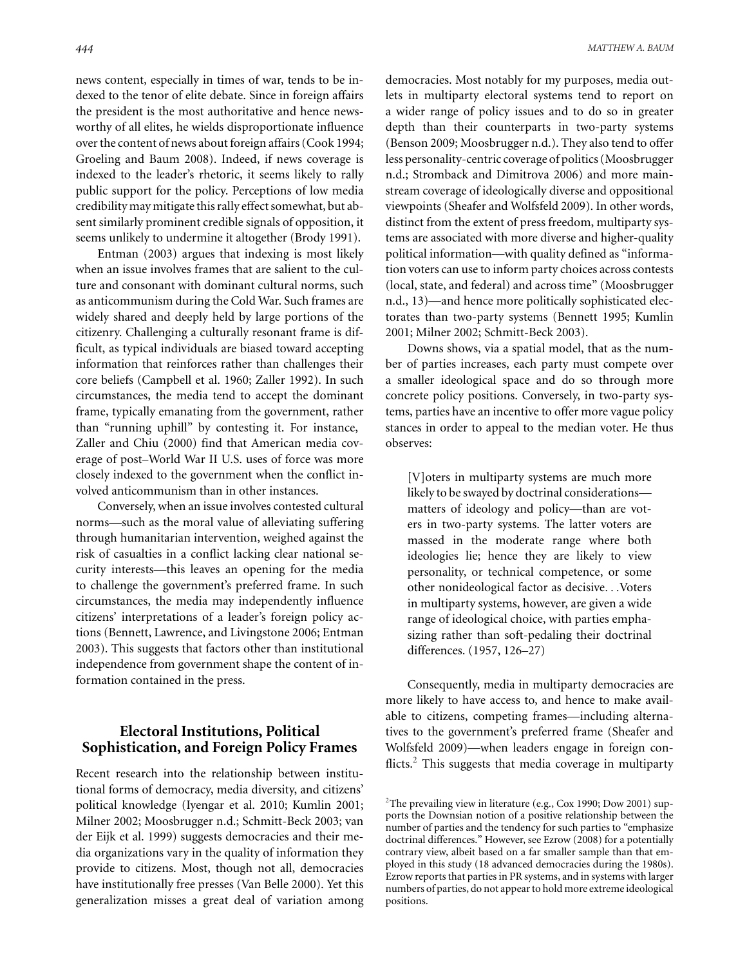news content, especially in times of war, tends to be indexed to the tenor of elite debate. Since in foreign affairs the president is the most authoritative and hence newsworthy of all elites, he wields disproportionate influence over the content of news about foreign affairs (Cook 1994; Groeling and Baum 2008). Indeed, if news coverage is indexed to the leader's rhetoric, it seems likely to rally public support for the policy. Perceptions of low media credibility may mitigate this rally effect somewhat, but absent similarly prominent credible signals of opposition, it seems unlikely to undermine it altogether (Brody 1991).

Entman (2003) argues that indexing is most likely when an issue involves frames that are salient to the culture and consonant with dominant cultural norms, such as anticommunism during the Cold War. Such frames are widely shared and deeply held by large portions of the citizenry. Challenging a culturally resonant frame is difficult, as typical individuals are biased toward accepting information that reinforces rather than challenges their core beliefs (Campbell et al. 1960; Zaller 1992). In such circumstances, the media tend to accept the dominant frame, typically emanating from the government, rather than "running uphill" by contesting it. For instance, Zaller and Chiu (2000) find that American media coverage of post–World War II U.S. uses of force was more closely indexed to the government when the conflict involved anticommunism than in other instances.

Conversely, when an issue involves contested cultural norms—such as the moral value of alleviating suffering through humanitarian intervention, weighed against the risk of casualties in a conflict lacking clear national security interests—this leaves an opening for the media to challenge the government's preferred frame. In such circumstances, the media may independently influence citizens' interpretations of a leader's foreign policy actions (Bennett, Lawrence, and Livingstone 2006; Entman 2003). This suggests that factors other than institutional independence from government shape the content of information contained in the press.

## **Electoral Institutions, Political Sophistication, and Foreign Policy Frames**

Recent research into the relationship between institutional forms of democracy, media diversity, and citizens' political knowledge (Iyengar et al. 2010; Kumlin 2001; Milner 2002; Moosbrugger n.d.; Schmitt-Beck 2003; van der Eijk et al. 1999) suggests democracies and their media organizations vary in the quality of information they provide to citizens. Most, though not all, democracies have institutionally free presses (Van Belle 2000). Yet this generalization misses a great deal of variation among

democracies. Most notably for my purposes, media outlets in multiparty electoral systems tend to report on a wider range of policy issues and to do so in greater depth than their counterparts in two-party systems (Benson 2009; Moosbrugger n.d.). They also tend to offer less personality-centric coverage of politics (Moosbrugger n.d.; Stromback and Dimitrova 2006) and more mainstream coverage of ideologically diverse and oppositional viewpoints (Sheafer and Wolfsfeld 2009). In other words, distinct from the extent of press freedom, multiparty systems are associated with more diverse and higher-quality political information—with quality defined as "information voters can use to inform party choices across contests (local, state, and federal) and across time" (Moosbrugger n.d., 13)—and hence more politically sophisticated electorates than two-party systems (Bennett 1995; Kumlin 2001; Milner 2002; Schmitt-Beck 2003).

Downs shows, via a spatial model, that as the number of parties increases, each party must compete over a smaller ideological space and do so through more concrete policy positions. Conversely, in two-party systems, parties have an incentive to offer more vague policy stances in order to appeal to the median voter. He thus observes:

[V]oters in multiparty systems are much more likely to be swayed by doctrinal considerations matters of ideology and policy—than are voters in two-party systems. The latter voters are massed in the moderate range where both ideologies lie; hence they are likely to view personality, or technical competence, or some other nonideological factor as decisive...Voters in multiparty systems, however, are given a wide range of ideological choice, with parties emphasizing rather than soft-pedaling their doctrinal differences. (1957, 126–27)

Consequently, media in multiparty democracies are more likely to have access to, and hence to make available to citizens, competing frames—including alternatives to the government's preferred frame (Sheafer and Wolfsfeld 2009)—when leaders engage in foreign conflicts.<sup>2</sup> This suggests that media coverage in multiparty

<sup>2</sup>The prevailing view in literature (e.g., Cox 1990; Dow 2001) supports the Downsian notion of a positive relationship between the number of parties and the tendency for such parties to "emphasize doctrinal differences." However, see Ezrow (2008) for a potentially contrary view, albeit based on a far smaller sample than that employed in this study (18 advanced democracies during the 1980s). Ezrow reports that parties in PR systems, and in systems with larger numbers of parties, do not appear to hold more extreme ideological positions.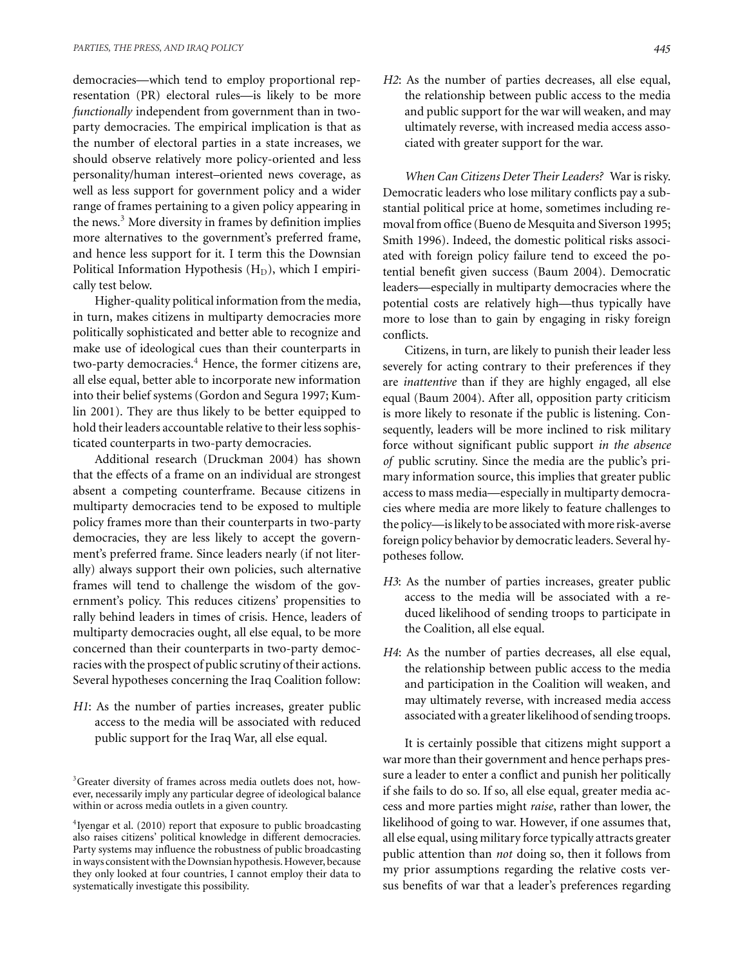democracies—which tend to employ proportional representation (PR) electoral rules—is likely to be more *functionally* independent from government than in twoparty democracies. The empirical implication is that as the number of electoral parties in a state increases, we should observe relatively more policy-oriented and less personality/human interest–oriented news coverage, as well as less support for government policy and a wider range of frames pertaining to a given policy appearing in the news. $3$  More diversity in frames by definition implies more alternatives to the government's preferred frame, and hence less support for it. I term this the Downsian Political Information Hypothesis  $(H_D)$ , which I empirically test below.

Higher-quality political information from the media, in turn, makes citizens in multiparty democracies more politically sophisticated and better able to recognize and make use of ideological cues than their counterparts in two-party democracies.<sup>4</sup> Hence, the former citizens are, all else equal, better able to incorporate new information into their belief systems (Gordon and Segura 1997; Kumlin 2001). They are thus likely to be better equipped to hold their leaders accountable relative to their less sophisticated counterparts in two-party democracies.

Additional research (Druckman 2004) has shown that the effects of a frame on an individual are strongest absent a competing counterframe. Because citizens in multiparty democracies tend to be exposed to multiple policy frames more than their counterparts in two-party democracies, they are less likely to accept the government's preferred frame. Since leaders nearly (if not literally) always support their own policies, such alternative frames will tend to challenge the wisdom of the government's policy. This reduces citizens' propensities to rally behind leaders in times of crisis. Hence, leaders of multiparty democracies ought, all else equal, to be more concerned than their counterparts in two-party democracies with the prospect of public scrutiny of their actions. Several hypotheses concerning the Iraq Coalition follow:

*H1*: As the number of parties increases, greater public access to the media will be associated with reduced public support for the Iraq War, all else equal.

*H2*: As the number of parties decreases, all else equal, the relationship between public access to the media and public support for the war will weaken, and may ultimately reverse, with increased media access associated with greater support for the war.

*When Can Citizens Deter Their Leaders?* War is risky. Democratic leaders who lose military conflicts pay a substantial political price at home, sometimes including removal from office (Bueno de Mesquita and Siverson 1995; Smith 1996). Indeed, the domestic political risks associated with foreign policy failure tend to exceed the potential benefit given success (Baum 2004). Democratic leaders—especially in multiparty democracies where the potential costs are relatively high—thus typically have more to lose than to gain by engaging in risky foreign conflicts.

Citizens, in turn, are likely to punish their leader less severely for acting contrary to their preferences if they are *inattentive* than if they are highly engaged, all else equal (Baum 2004). After all, opposition party criticism is more likely to resonate if the public is listening. Consequently, leaders will be more inclined to risk military force without significant public support *in the absence of* public scrutiny. Since the media are the public's primary information source, this implies that greater public access to mass media—especially in multiparty democracies where media are more likely to feature challenges to the policy—is likely to be associated with more risk-averse foreign policy behavior by democratic leaders. Several hypotheses follow.

- *H3*: As the number of parties increases, greater public access to the media will be associated with a reduced likelihood of sending troops to participate in the Coalition, all else equal.
- *H4*: As the number of parties decreases, all else equal, the relationship between public access to the media and participation in the Coalition will weaken, and may ultimately reverse, with increased media access associated with a greater likelihood of sending troops.

It is certainly possible that citizens might support a war more than their government and hence perhaps pressure a leader to enter a conflict and punish her politically if she fails to do so. If so, all else equal, greater media access and more parties might *raise*, rather than lower, the likelihood of going to war. However, if one assumes that, all else equal, using military force typically attracts greater public attention than *not* doing so, then it follows from my prior assumptions regarding the relative costs versus benefits of war that a leader's preferences regarding

<sup>&</sup>lt;sup>3</sup> Greater diversity of frames across media outlets does not, however, necessarily imply any particular degree of ideological balance within or across media outlets in a given country.

<sup>&</sup>lt;sup>4</sup>Iyengar et al. (2010) report that exposure to public broadcasting also raises citizens' political knowledge in different democracies. Party systems may influence the robustness of public broadcasting in ways consistent with the Downsian hypothesis. However, because they only looked at four countries, I cannot employ their data to systematically investigate this possibility.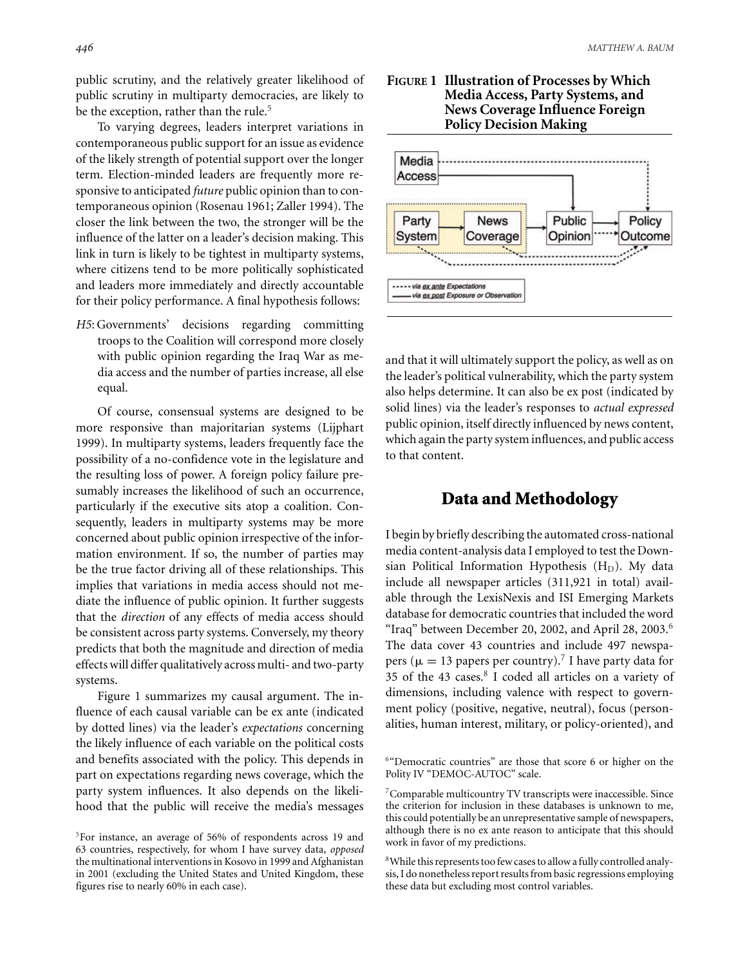public scrutiny, and the relatively greater likelihood of public scrutiny in multiparty democracies, are likely to be the exception, rather than the rule.<sup>5</sup>

To varying degrees, leaders interpret variations in contemporaneous public support for an issue as evidence of the likely strength of potential support over the longer term. Election-minded leaders are frequently more responsive to anticipated *future* public opinion than to contemporaneous opinion (Rosenau 1961; Zaller 1994). The closer the link between the two, the stronger will be the influence of the latter on a leader's decision making. This link in turn is likely to be tightest in multiparty systems, where citizens tend to be more politically sophisticated and leaders more immediately and directly accountable for their policy performance. A final hypothesis follows:

*H5*: Governments' decisions regarding committing troops to the Coalition will correspond more closely with public opinion regarding the Iraq War as media access and the number of parties increase, all else equal.

Of course, consensual systems are designed to be more responsive than majoritarian systems (Lijphart 1999). In multiparty systems, leaders frequently face the possibility of a no-confidence vote in the legislature and the resulting loss of power. A foreign policy failure presumably increases the likelihood of such an occurrence, particularly if the executive sits atop a coalition. Consequently, leaders in multiparty systems may be more concerned about public opinion irrespective of the information environment. If so, the number of parties may be the true factor driving all of these relationships. This implies that variations in media access should not mediate the influence of public opinion. It further suggests that the *direction* of any effects of media access should be consistent across party systems. Conversely, my theory predicts that both the magnitude and direction of media effects will differ qualitatively across multi- and two-party systems.

Figure 1 summarizes my causal argument. The influence of each causal variable can be ex ante (indicated by dotted lines) via the leader's *expectations* concerning the likely influence of each variable on the political costs and benefits associated with the policy. This depends in part on expectations regarding news coverage, which the party system influences. It also depends on the likelihood that the public will receive the media's messages

#### **FIGURE 1 Illustration of Processes by Which Media Access, Party Systems, and News Coverage Influence Foreign Policy Decision Making**



and that it will ultimately support the policy, as well as on the leader's political vulnerability, which the party system also helps determine. It can also be ex post (indicated by solid lines) via the leader's responses to *actual expressed* public opinion, itself directly influenced by news content, which again the party system influences, and public access to that content.

## **Data and Methodology**

I begin by briefly describing the automated cross-national media content-analysis data I employed to test the Downsian Political Information Hypothesis  $(H<sub>D</sub>)$ . My data include all newspaper articles (311,921 in total) available through the LexisNexis and ISI Emerging Markets database for democratic countries that included the word "Iraq" between December 20, 2002, and April 28, 2003. $^6$ The data cover 43 countries and include 497 newspapers ( $\mu = 13$  papers per country).<sup>7</sup> I have party data for 35 of the 43 cases.<sup>8</sup> I coded all articles on a variety of dimensions, including valence with respect to government policy (positive, negative, neutral), focus (personalities, human interest, military, or policy-oriented), and

<sup>6"</sup>Democratic countries" are those that score 6 or higher on the Polity IV "DEMOC-AUTOC" scale.

<sup>5</sup>For instance, an average of 56% of respondents across 19 and 63 countries, respectively, for whom I have survey data, *opposed* the multinational interventions in Kosovo in 1999 and Afghanistan in 2001 (excluding the United States and United Kingdom, these figures rise to nearly 60% in each case).

<sup>7</sup>Comparable multicountry TV transcripts were inaccessible. Since the criterion for inclusion in these databases is unknown to me, this could potentially be an unrepresentative sample of newspapers, although there is no ex ante reason to anticipate that this should work in favor of my predictions.

<sup>&</sup>lt;sup>8</sup>While this represents too few cases to allow a fully controlled analysis, I do nonetheless report results from basic regressions employing these data but excluding most control variables.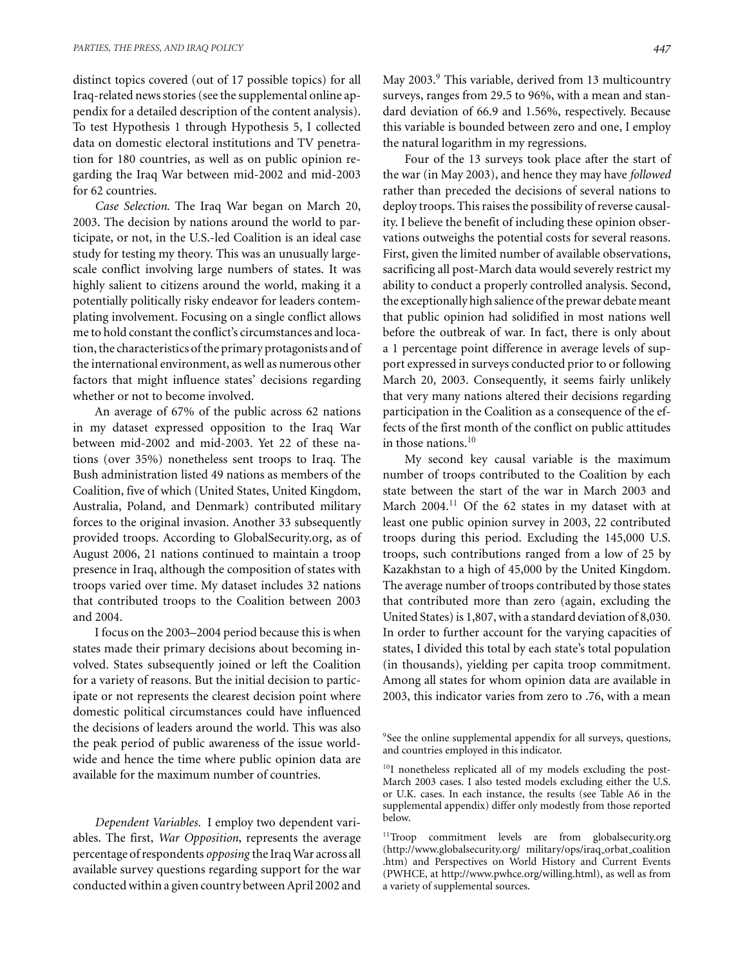distinct topics covered (out of 17 possible topics) for all Iraq-related news stories (see the supplemental online appendix for a detailed description of the content analysis). To test Hypothesis 1 through Hypothesis 5, I collected data on domestic electoral institutions and TV penetration for 180 countries, as well as on public opinion regarding the Iraq War between mid-2002 and mid-2003 for 62 countries.

*Case Selection*. The Iraq War began on March 20, 2003. The decision by nations around the world to participate, or not, in the U.S.-led Coalition is an ideal case study for testing my theory. This was an unusually largescale conflict involving large numbers of states. It was highly salient to citizens around the world, making it a potentially politically risky endeavor for leaders contemplating involvement. Focusing on a single conflict allows me to hold constant the conflict's circumstances and location, the characteristics of the primary protagonists and of the international environment, as well as numerous other factors that might influence states' decisions regarding whether or not to become involved.

An average of 67% of the public across 62 nations in my dataset expressed opposition to the Iraq War between mid-2002 and mid-2003. Yet 22 of these nations (over 35%) nonetheless sent troops to Iraq. The Bush administration listed 49 nations as members of the Coalition, five of which (United States, United Kingdom, Australia, Poland, and Denmark) contributed military forces to the original invasion. Another 33 subsequently provided troops. According to GlobalSecurity.org, as of August 2006, 21 nations continued to maintain a troop presence in Iraq, although the composition of states with troops varied over time. My dataset includes 32 nations that contributed troops to the Coalition between 2003 and 2004.

I focus on the 2003–2004 period because this is when states made their primary decisions about becoming involved. States subsequently joined or left the Coalition for a variety of reasons. But the initial decision to participate or not represents the clearest decision point where domestic political circumstances could have influenced the decisions of leaders around the world. This was also the peak period of public awareness of the issue worldwide and hence the time where public opinion data are available for the maximum number of countries.

*Dependent Variables*. I employ two dependent variables. The first, *War Opposition*, represents the average percentage of respondents *opposing* the IraqWar across all available survey questions regarding support for the war conducted within a given country between April 2002 and May 2003.<sup>9</sup> This variable, derived from 13 multicountry surveys, ranges from 29.5 to 96%, with a mean and standard deviation of 66.9 and 1.56%, respectively. Because this variable is bounded between zero and one, I employ the natural logarithm in my regressions.

Four of the 13 surveys took place after the start of the war (in May 2003), and hence they may have *followed* rather than preceded the decisions of several nations to deploy troops. This raises the possibility of reverse causality. I believe the benefit of including these opinion observations outweighs the potential costs for several reasons. First, given the limited number of available observations, sacrificing all post-March data would severely restrict my ability to conduct a properly controlled analysis. Second, the exceptionally high salience of the prewar debate meant that public opinion had solidified in most nations well before the outbreak of war. In fact, there is only about a 1 percentage point difference in average levels of support expressed in surveys conducted prior to or following March 20, 2003. Consequently, it seems fairly unlikely that very many nations altered their decisions regarding participation in the Coalition as a consequence of the effects of the first month of the conflict on public attitudes in those nations.<sup>10</sup>

My second key causal variable is the maximum number of troops contributed to the Coalition by each state between the start of the war in March 2003 and March  $2004$ .<sup>11</sup> Of the 62 states in my dataset with at least one public opinion survey in 2003, 22 contributed troops during this period. Excluding the 145,000 U.S. troops, such contributions ranged from a low of 25 by Kazakhstan to a high of 45,000 by the United Kingdom. The average number of troops contributed by those states that contributed more than zero (again, excluding the United States) is 1,807, with a standard deviation of 8,030. In order to further account for the varying capacities of states, I divided this total by each state's total population (in thousands), yielding per capita troop commitment. Among all states for whom opinion data are available in 2003, this indicator varies from zero to .76, with a mean

<sup>9</sup>See the online supplemental appendix for all surveys, questions, and countries employed in this indicator.

<sup>10</sup>I nonetheless replicated all of my models excluding the post-March 2003 cases. I also tested models excluding either the U.S. or U.K. cases. In each instance, the results (see Table A6 in the supplemental appendix) differ only modestly from those reported below.

<sup>11</sup>Troop commitment levels are from globalsecurity.org (http://www.globalsecurity.org/ military/ops/iraq orbat coalition .htm) and Perspectives on World History and Current Events (PWHCE, at http://www.pwhce.org/willing.html), as well as from a variety of supplemental sources.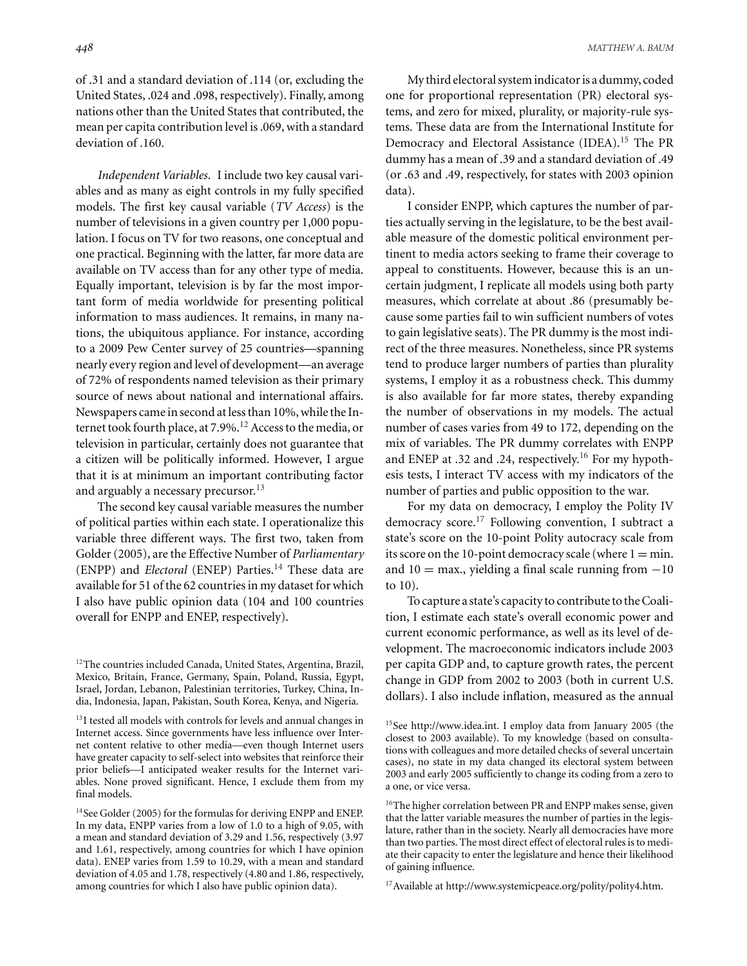of .31 and a standard deviation of .114 (or, excluding the United States, .024 and .098, respectively). Finally, among nations other than the United States that contributed, the mean per capita contribution level is .069, with a standard deviation of .160.

*Independent Variables*. I include two key causal variables and as many as eight controls in my fully specified models. The first key causal variable (*TV Access*) is the number of televisions in a given country per 1,000 population. I focus on TV for two reasons, one conceptual and one practical. Beginning with the latter, far more data are available on TV access than for any other type of media. Equally important, television is by far the most important form of media worldwide for presenting political information to mass audiences. It remains, in many nations, the ubiquitous appliance. For instance, according to a 2009 Pew Center survey of 25 countries—spanning nearly every region and level of development—an average of 72% of respondents named television as their primary source of news about national and international affairs. Newspapers came in second at less than 10%, while the Internet took fourth place, at 7.9%.<sup>12</sup> Access to the media, or television in particular, certainly does not guarantee that a citizen will be politically informed. However, I argue that it is at minimum an important contributing factor and arguably a necessary precursor.<sup>13</sup>

The second key causal variable measures the number of political parties within each state. I operationalize this variable three different ways. The first two, taken from Golder (2005), are the Effective Number of *Parliamentary* (ENPP) and *Electoral* (ENEP) Parties.<sup>14</sup> These data are available for 51 of the 62 countries in my dataset for which I also have public opinion data (104 and 100 countries overall for ENPP and ENEP, respectively).

My third electoral system indicator is a dummy, coded one for proportional representation (PR) electoral systems, and zero for mixed, plurality, or majority-rule systems. These data are from the International Institute for Democracy and Electoral Assistance (IDEA).<sup>15</sup> The PR dummy has a mean of .39 and a standard deviation of .49 (or .63 and .49, respectively, for states with 2003 opinion data).

I consider ENPP, which captures the number of parties actually serving in the legislature, to be the best available measure of the domestic political environment pertinent to media actors seeking to frame their coverage to appeal to constituents. However, because this is an uncertain judgment, I replicate all models using both party measures, which correlate at about .86 (presumably because some parties fail to win sufficient numbers of votes to gain legislative seats). The PR dummy is the most indirect of the three measures. Nonetheless, since PR systems tend to produce larger numbers of parties than plurality systems, I employ it as a robustness check. This dummy is also available for far more states, thereby expanding the number of observations in my models. The actual number of cases varies from 49 to 172, depending on the mix of variables. The PR dummy correlates with ENPP and ENEP at .32 and .24, respectively.<sup>16</sup> For my hypothesis tests, I interact TV access with my indicators of the number of parties and public opposition to the war.

For my data on democracy, I employ the Polity IV democracy score.<sup>17</sup> Following convention, I subtract a state's score on the 10-point Polity autocracy scale from its score on the 10-point democracy scale (where  $1 = min$ . and  $10 = \text{max}$ , yielding a final scale running from  $-10$ to 10).

To capture a state's capacity to contribute to the Coalition, I estimate each state's overall economic power and current economic performance, as well as its level of development. The macroeconomic indicators include 2003 per capita GDP and, to capture growth rates, the percent change in GDP from 2002 to 2003 (both in current U.S. dollars). I also include inflation, measured as the annual

<sup>17</sup> Available at http://www.systemicpeace.org/polity/polity4.htm.

<sup>&</sup>lt;sup>12</sup>The countries included Canada, United States, Argentina, Brazil, Mexico, Britain, France, Germany, Spain, Poland, Russia, Egypt, Israel, Jordan, Lebanon, Palestinian territories, Turkey, China, India, Indonesia, Japan, Pakistan, South Korea, Kenya, and Nigeria.

 $13$ I tested all models with controls for levels and annual changes in Internet access. Since governments have less influence over Internet content relative to other media—even though Internet users have greater capacity to self-select into websites that reinforce their prior beliefs—I anticipated weaker results for the Internet variables. None proved significant. Hence, I exclude them from my final models.

<sup>&</sup>lt;sup>14</sup>See Golder (2005) for the formulas for deriving ENPP and ENEP. In my data, ENPP varies from a low of 1.0 to a high of 9.05, with a mean and standard deviation of 3.29 and 1.56, respectively (3.97 and 1.61, respectively, among countries for which I have opinion data). ENEP varies from 1.59 to 10.29, with a mean and standard deviation of 4.05 and 1.78, respectively (4.80 and 1.86, respectively, among countries for which I also have public opinion data).

<sup>15</sup>See http://www.idea.int. I employ data from January 2005 (the closest to 2003 available). To my knowledge (based on consultations with colleagues and more detailed checks of several uncertain cases), no state in my data changed its electoral system between 2003 and early 2005 sufficiently to change its coding from a zero to a one, or vice versa.

<sup>&</sup>lt;sup>16</sup>The higher correlation between PR and ENPP makes sense, given that the latter variable measures the number of parties in the legislature, rather than in the society. Nearly all democracies have more than two parties. The most direct effect of electoral rules is to mediate their capacity to enter the legislature and hence their likelihood of gaining influence.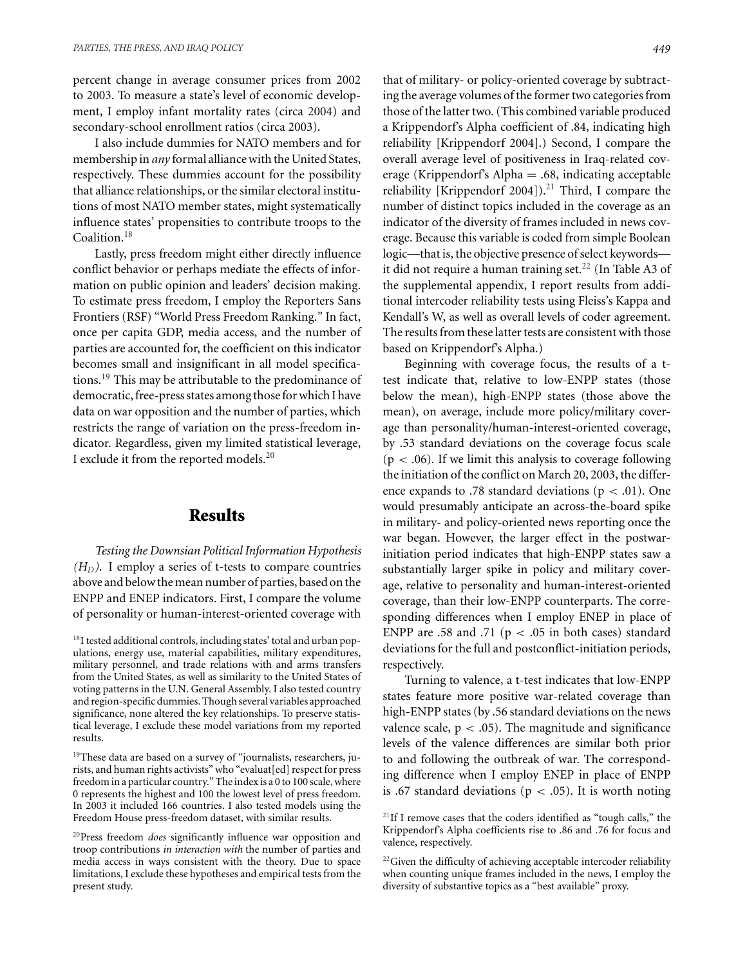percent change in average consumer prices from 2002 to 2003. To measure a state's level of economic development, I employ infant mortality rates (circa 2004) and secondary-school enrollment ratios (circa 2003).

I also include dummies for NATO members and for membership in *any* formal alliance with the United States, respectively. These dummies account for the possibility that alliance relationships, or the similar electoral institutions of most NATO member states, might systematically influence states' propensities to contribute troops to the Coalition.<sup>18</sup>

Lastly, press freedom might either directly influence conflict behavior or perhaps mediate the effects of information on public opinion and leaders' decision making. To estimate press freedom, I employ the Reporters Sans Frontiers (RSF) "World Press Freedom Ranking." In fact, once per capita GDP, media access, and the number of parties are accounted for, the coefficient on this indicator becomes small and insignificant in all model specifications.19 This may be attributable to the predominance of democratic, free-press states among those for which I have data on war opposition and the number of parties, which restricts the range of variation on the press-freedom indicator. Regardless, given my limited statistical leverage, I exclude it from the reported models.<sup>20</sup>

### **Results**

*Testing the Downsian Political Information Hypothesis*  $(H<sub>D</sub>)$ . I employ a series of t-tests to compare countries above and below themean number of parties, based on the ENPP and ENEP indicators. First, I compare the volume of personality or human-interest-oriented coverage with

18I tested additional controls, including states' total and urban populations, energy use, material capabilities, military expenditures, military personnel, and trade relations with and arms transfers from the United States, as well as similarity to the United States of voting patterns in the U.N. General Assembly. I also tested country and region-specific dummies. Though several variables approached significance, none altered the key relationships. To preserve statistical leverage, I exclude these model variations from my reported results.

19These data are based on a survey of "journalists, researchers, jurists, and human rights activists" who "evaluat[ed] respect for press freedom in a particular country." The index is a 0 to 100 scale, where 0 represents the highest and 100 the lowest level of press freedom. In 2003 it included 166 countries. I also tested models using the Freedom House press-freedom dataset, with similar results.

20Press freedom *does* significantly influence war opposition and troop contributions *in interaction with* the number of parties and media access in ways consistent with the theory. Due to space limitations, I exclude these hypotheses and empirical tests from the present study.

that of military- or policy-oriented coverage by subtracting the average volumes of the former two categories from those of the latter two. (This combined variable produced a Krippendorf's Alpha coefficient of .84, indicating high reliability [Krippendorf 2004].) Second, I compare the overall average level of positiveness in Iraq-related coverage (Krippendorf's Alpha = .68, indicating acceptable reliability [Krippendorf 2004]).<sup>21</sup> Third, I compare the number of distinct topics included in the coverage as an indicator of the diversity of frames included in news coverage. Because this variable is coded from simple Boolean logic—that is, the objective presence of select keywords it did not require a human training set.<sup>22</sup> (In Table A3 of the supplemental appendix, I report results from additional intercoder reliability tests using Fleiss's Kappa and Kendall's W, as well as overall levels of coder agreement. The results from these latter tests are consistent with those based on Krippendorf's Alpha.)

Beginning with coverage focus, the results of a ttest indicate that, relative to low-ENPP states (those below the mean), high-ENPP states (those above the mean), on average, include more policy/military coverage than personality/human-interest-oriented coverage, by .53 standard deviations on the coverage focus scale  $(p < .06)$ . If we limit this analysis to coverage following the initiation of the conflict on March 20, 2003, the difference expands to .78 standard deviations ( $p < .01$ ). One would presumably anticipate an across-the-board spike in military- and policy-oriented news reporting once the war began. However, the larger effect in the postwarinitiation period indicates that high-ENPP states saw a substantially larger spike in policy and military coverage, relative to personality and human-interest-oriented coverage, than their low-ENPP counterparts. The corresponding differences when I employ ENEP in place of ENPP are .58 and .71 ( $p < .05$  in both cases) standard deviations for the full and postconflict-initiation periods, respectively.

Turning to valence, a t-test indicates that low-ENPP states feature more positive war-related coverage than high-ENPP states (by .56 standard deviations on the news valence scale,  $p < .05$ ). The magnitude and significance levels of the valence differences are similar both prior to and following the outbreak of war. The corresponding difference when I employ ENEP in place of ENPP is .67 standard deviations ( $p < .05$ ). It is worth noting

<sup>&</sup>lt;sup>21</sup>If I remove cases that the coders identified as "tough calls," the Krippendorf's Alpha coefficients rise to .86 and .76 for focus and valence, respectively.

 $22$  Given the difficulty of achieving acceptable intercoder reliability when counting unique frames included in the news, I employ the diversity of substantive topics as a "best available" proxy.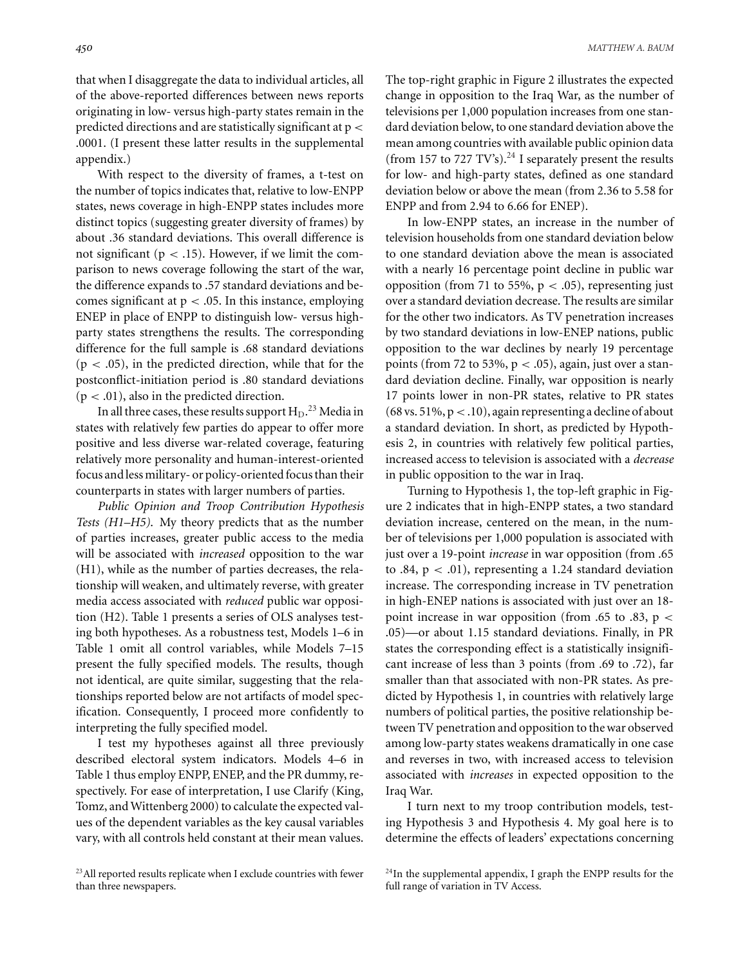that when I disaggregate the data to individual articles, all of the above-reported differences between news reports originating in low- versus high-party states remain in the predicted directions and are statistically significant at p < .0001. (I present these latter results in the supplemental appendix.)

With respect to the diversity of frames, a t-test on the number of topics indicates that, relative to low-ENPP states, news coverage in high-ENPP states includes more distinct topics (suggesting greater diversity of frames) by about .36 standard deviations. This overall difference is not significant ( $p < .15$ ). However, if we limit the comparison to news coverage following the start of the war, the difference expands to .57 standard deviations and becomes significant at  $p < .05$ . In this instance, employing ENEP in place of ENPP to distinguish low- versus highparty states strengthens the results. The corresponding difference for the full sample is .68 standard deviations  $(p < .05)$ , in the predicted direction, while that for the postconflict-initiation period is .80 standard deviations  $(p < .01)$ , also in the predicted direction.

In all three cases, these results support  $\rm H_{D}.^{23}$  Media in states with relatively few parties do appear to offer more positive and less diverse war-related coverage, featuring relatively more personality and human-interest-oriented focus and less military- or policy-oriented focus than their counterparts in states with larger numbers of parties.

*Public Opinion and Troop Contribution Hypothesis Tests (H1–H5)*. My theory predicts that as the number of parties increases, greater public access to the media will be associated with *increased* opposition to the war (H1), while as the number of parties decreases, the relationship will weaken, and ultimately reverse, with greater media access associated with *reduced* public war opposition (H2). Table 1 presents a series of OLS analyses testing both hypotheses. As a robustness test, Models 1–6 in Table 1 omit all control variables, while Models 7–15 present the fully specified models. The results, though not identical, are quite similar, suggesting that the relationships reported below are not artifacts of model specification. Consequently, I proceed more confidently to interpreting the fully specified model.

I test my hypotheses against all three previously described electoral system indicators. Models 4–6 in Table 1 thus employ ENPP, ENEP, and the PR dummy, respectively. For ease of interpretation, I use Clarify (King, Tomz, and Wittenberg 2000) to calculate the expected values of the dependent variables as the key causal variables vary, with all controls held constant at their mean values. The top-right graphic in Figure 2 illustrates the expected change in opposition to the Iraq War, as the number of televisions per 1,000 population increases from one standard deviation below, to one standard deviation above the mean among countries with available public opinion data (from 157 to 727 TV's).<sup>24</sup> I separately present the results for low- and high-party states, defined as one standard deviation below or above the mean (from 2.36 to 5.58 for ENPP and from 2.94 to 6.66 for ENEP).

In low-ENPP states, an increase in the number of television households from one standard deviation below to one standard deviation above the mean is associated with a nearly 16 percentage point decline in public war opposition (from 71 to 55%,  $p < .05$ ), representing just over a standard deviation decrease. The results are similar for the other two indicators. As TV penetration increases by two standard deviations in low-ENEP nations, public opposition to the war declines by nearly 19 percentage points (from 72 to 53%,  $p < .05$ ), again, just over a standard deviation decline. Finally, war opposition is nearly 17 points lower in non-PR states, relative to PR states  $(68 \text{ vs. } 51\%, \text{ p} < .10)$ , again representing a decline of about a standard deviation. In short, as predicted by Hypothesis 2, in countries with relatively few political parties, increased access to television is associated with a *decrease* in public opposition to the war in Iraq.

Turning to Hypothesis 1, the top-left graphic in Figure 2 indicates that in high-ENPP states, a two standard deviation increase, centered on the mean, in the number of televisions per 1,000 population is associated with just over a 19-point *increase* in war opposition (from .65 to .84,  $p < .01$ ), representing a 1.24 standard deviation increase. The corresponding increase in TV penetration in high-ENEP nations is associated with just over an 18 point increase in war opposition (from .65 to .83,  $p <$ .05)—or about 1.15 standard deviations. Finally, in PR states the corresponding effect is a statistically insignificant increase of less than 3 points (from .69 to .72), far smaller than that associated with non-PR states. As predicted by Hypothesis 1, in countries with relatively large numbers of political parties, the positive relationship between TV penetration and opposition to the war observed among low-party states weakens dramatically in one case and reverses in two, with increased access to television associated with *increases* in expected opposition to the Iraq War.

I turn next to my troop contribution models, testing Hypothesis 3 and Hypothesis 4. My goal here is to determine the effects of leaders' expectations concerning

<sup>&</sup>lt;sup>23</sup> All reported results replicate when I exclude countries with fewer than three newspapers.

<sup>&</sup>lt;sup>24</sup>In the supplemental appendix, I graph the ENPP results for the full range of variation in TV Access.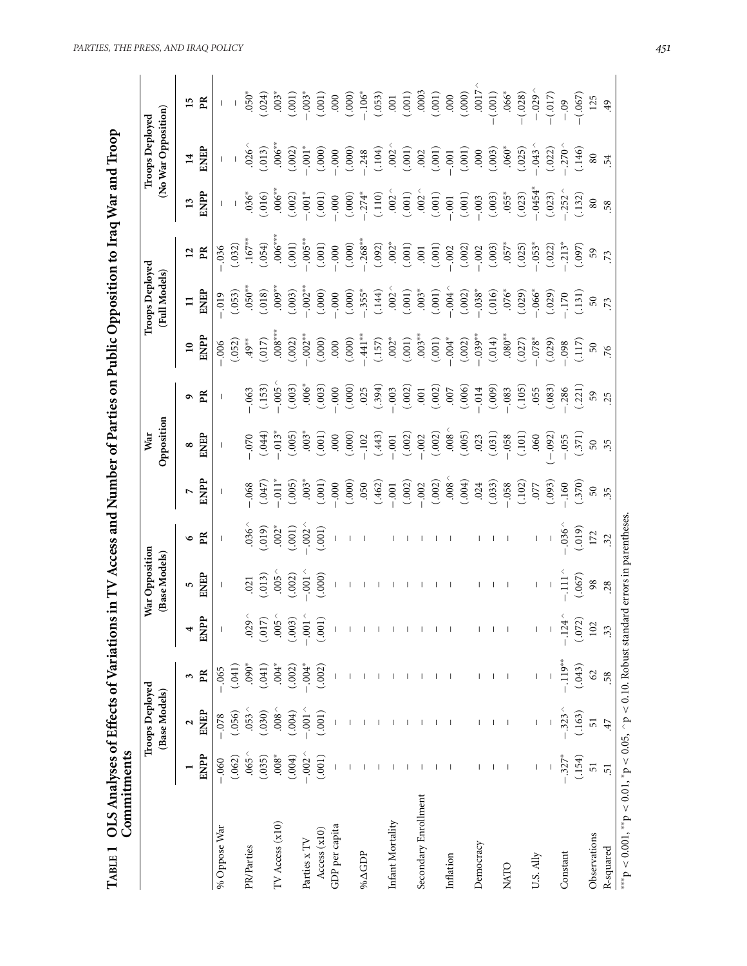|                               |                          | <b>Troops Deployed</b><br>(Base Models) |                                                                     |                          | War Opposition<br>(Base Models) |                          |                          | Opposition<br>Var     |                     |                             | Troops Deployed<br>(Full Models) |                       |                | (No War Opposition)<br><b>Troops Deployed</b> |           |
|-------------------------------|--------------------------|-----------------------------------------|---------------------------------------------------------------------|--------------------------|---------------------------------|--------------------------|--------------------------|-----------------------|---------------------|-----------------------------|----------------------------------|-----------------------|----------------|-----------------------------------------------|-----------|
|                               | ENPP                     | <b>ENEP</b>                             | PR<br>$\mathfrak{g}$                                                | ENPP                     | ENEP<br>5                       | Æ<br>$\bullet$           | ENPP<br>r                | ENEP<br>$\infty$      | P <sub>R</sub><br>٩ | <b>ENPP</b><br>$\mathbf{r}$ | ENEP<br>$\Box$                   | PR<br>$\overline{12}$ | ENPP<br>13     | ENEP<br>$\overline{14}$                       | 15<br>PR  |
| % Oppose War                  | $-.060$                  | $-.078$                                 | $-.065$                                                             | $\overline{\phantom{a}}$ | $\overline{\phantom{a}}$        | $\overline{\phantom{a}}$ | $\overline{\phantom{a}}$ |                       |                     | $-0.006$                    | $-0.019$                         | $-0.36$               |                |                                               |           |
|                               | (.062)                   | (.056)                                  | (.041)                                                              |                          |                                 |                          |                          |                       |                     | (.052)                      | (.053)                           | (.032)                |                |                                               |           |
| <b>PR/Parties</b>             | .065 $\sim$              | .053 <sub>0</sub>                       |                                                                     | .029 <sup>0</sup>        | .021                            | .036 $\sim$              | .068                     | 0.070                 | .063                | $49**$                      | $.050**$                         | $.167***$             | $.036*$        | .026 <sub>0</sub>                             | $.050*$   |
|                               | (.035)                   | (.030)                                  | (110.60)                                                            | (517)                    | (013)                           | (.019)                   | (.047)                   | (.044)                | (153)               | (017)                       | (.018)                           | (.654)                | (.016)         | (.013)                                        | (.024)    |
| TV Access (x10)               | $.008^*$                 | .008 $^\circ$                           |                                                                     | 005 <sup>0</sup>         | .005 $\sim$                     | $.002*$                  | $.011*$                  | $-0.013$ <sup>*</sup> | $-0.005 -$          | $.008***$                   | $.009**$                         | $.006***$             | $.006***$      | $.006**$                                      | $.003*$   |
|                               | (.004)                   | $(.004)$<br>-.001 ^                     | $\begin{array}{c} .004^{*} \\ .002 \\ .004^{*} \\ .002 \end{array}$ | (.003)                   | (.002)                          | (.001)                   | (.005)                   | (.005)                | (.003)              | (.002)                      | (.003)                           | $(.001)$              | (.002)         | (.002)                                        | (.001)    |
| Parties x $\operatorname{TV}$ | $-0.002$                 |                                         |                                                                     | $001o$                   | $-0.001$                        | $-002 -$                 | $.003*$                  | $.003*$               | $.006*$             | $-0.002**$                  | $-0.002**$                       | $-0.05***$            | $-0.001*$      | $-.001*$                                      | $-0.003*$ |
| Access $(x10)$                | (.001)                   | (.001)                                  |                                                                     | (001)                    | (.000)                          | (.001)                   | (.001)                   | (.001)                | (.003)              | (.000)                      | (.000)                           | (.001)                | (.001)         | (.000)                                        | (.001)    |
| GDP per capita                |                          |                                         |                                                                     |                          |                                 |                          | 000                      | 000                   | $-000$              | 000                         | $-0.000$                         | $-0.000$              | $-000$         | $-0.000$                                      | 000       |
|                               |                          |                                         |                                                                     |                          |                                 |                          | (.000)                   | (.000)                | (.000)              | (.000)                      | (.000)                           | (.000)                | (.000)         | (.000)                                        | (.000)    |
| <b>ACDP</b>                   |                          |                                         |                                                                     |                          |                                 |                          | 050                      | $-102$                | .025                | $-441**$                    | $-0.355*$                        | $-.268***$            | $-0.274*$      | $-0.248$                                      | $-106*$   |
|                               | $\overline{\phantom{a}}$ | $\mathbf{I}$                            |                                                                     |                          |                                 |                          | (.462)                   | (.443)                | (.394)              | (157)                       | (.144)                           | (.092)                | (110)          | (.104)                                        | (.053)    |
| Infant Mortality              | $\overline{\phantom{0}}$ | $\overline{\phantom{0}}$                | $\overline{\phantom{0}}$                                            |                          |                                 |                          | $-0.001$                 | $-.001$               | $-.003$             | $.002*$                     | $.002 \,$                        | $.002*$               | $.002 \,$      | $.002 \, \wedge$                              | $\sim 00$ |
|                               | $\Box$                   | $\blacksquare$                          | $\blacksquare$                                                      |                          |                                 |                          | (.002)                   | (.002)                | (.002)              | $(.001)$                    | (.001)                           | (.001)                | (.001)         | (.001)                                        | (.001)    |
| Secondary Enrollment          | $\sim$ 1                 | $\sim 1$                                | $\blacksquare$                                                      |                          |                                 |                          | $-.002$                  | $-.002$               | .001                | $.003**$                    | $.003*$                          | $.001$                | $.002 \right.$ | .002                                          | .0003     |
|                               |                          |                                         |                                                                     |                          |                                 |                          | (.002)                   | (.002)                | (.002)              | (.001)                      | (.001)                           | (.001)                | (.001)         | (.001)                                        | (.001)    |
| Inflation                     | $\blacksquare$           | $\sim$ 1                                | $\blacksquare$                                                      |                          |                                 |                          | $.008 \,$                | $.008 \,$             | $.007$              | $-0.04*$                    | $-0.04$                          | $-.002$               | $-.001$        | $-0.001$                                      | 000       |
|                               |                          |                                         |                                                                     |                          |                                 |                          | (.004)                   | (.005)                | (.006)              | (.002)                      | (.002)                           | (.002)                | (.001)         | (.001)                                        | (.000)    |
| Democracy                     |                          |                                         |                                                                     |                          |                                 |                          | .024                     | .023                  | $-.014$             | $-039***$                   | $-0.38*$                         | $-.002$               | $-0.003$       | 000                                           | .0017     |
|                               |                          |                                         | $1 - 1$                                                             |                          |                                 |                          | (.033)                   | (.031)                | (.009)              | (.014)                      | (.016)                           | (.003)                | (.003)         | (.003)                                        | (.001)    |
| NATO                          | $\blacksquare$           |                                         |                                                                     |                          |                                 |                          | $-0.58$                  | $-0.058$              | $-.083$             | $.080**$                    | $.076*$                          | $.057*$               | $.055*$        | $.060*$                                       | $.066*$   |
|                               |                          |                                         |                                                                     |                          |                                 |                          | (.102)                   | (101)                 | (105)               | (.027)                      | (.029)                           | (.025)                | (.023)         | (.025)                                        | (.028)    |
| U.S. Ally                     | $\mathsf I$              |                                         | $\mathsf I$                                                         |                          |                                 | $\overline{\phantom{a}}$ | .077                     | .060                  | .055                | $-0.078*$                   | $-0.066*$                        | $-0.53*$              | $-0.0454$      | $-0.43$                                       | $-0.029$  |
|                               |                          |                                         | $\bar{\rm I}$                                                       |                          |                                 | $\mathbf{I}$             | (.093)                   | $-.092)$              | (.083)              | (.029)                      | (.029)                           | (.022)                | (.023)         | (.022)                                        | (510)     |
| Constant                      | $-.327*$                 | $-.3230$                                | $-.119**$                                                           | $-.1240$                 | $-111^{\circ}$                  | .036 <sub>1</sub>        | .160                     | $-0.055$              | $-286$              | $098$ .                     | $-170$                           | $-213*$               | $-0.252$       | $-270$                                        | $-0.9$    |
|                               | (.154)                   | (.163)                                  | (.043)                                                              | (.072)                   | (.067)                          | (.019)                   | (.370)                   | (.371)                | (.221)              | (117)                       | (131)                            | (.697)                | (.132)         | (.146)                                        | (0.067)   |
| Observations                  | 51                       | 51                                      | 62                                                                  | 102                      | 98                              | 172                      | $\mathbb{S}^0$           | $50\,$                | $59\,$              | $\mathbb S$                 | $50\,$                           | 59                    | $\rm 80$       | $80\,$                                        | 125       |
| R-squared                     | $\overline{5}$           | 47                                      | 58                                                                  | 33                       | .28                             | $\ddot{32}$              | 35                       | $\ddot{35}$           | .25                 | 76                          | .73                              | .73                   | 58.            | 54                                            | 49        |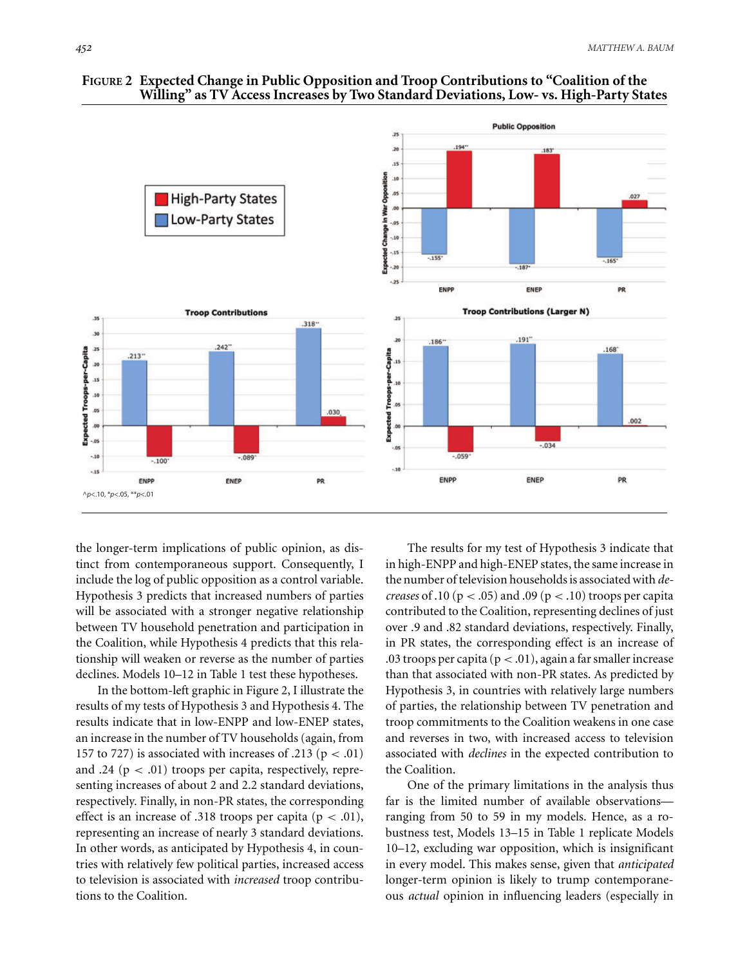### **FIGURE 2 Expected Change in Public Opposition and Troop Contributions to "Coalition of the Willing" as TV Access Increases by Two Standard Deviations, Low- vs. High-Party States**



the longer-term implications of public opinion, as distinct from contemporaneous support. Consequently, I include the log of public opposition as a control variable. Hypothesis 3 predicts that increased numbers of parties will be associated with a stronger negative relationship between TV household penetration and participation in the Coalition, while Hypothesis 4 predicts that this relationship will weaken or reverse as the number of parties declines. Models 10–12 in Table 1 test these hypotheses.

In the bottom-left graphic in Figure 2, I illustrate the results of my tests of Hypothesis 3 and Hypothesis 4. The results indicate that in low-ENPP and low-ENEP states, an increase in the number of TV households (again, from 157 to 727) is associated with increases of .213 ( $p < .01$ ) and .24 ( $p < .01$ ) troops per capita, respectively, representing increases of about 2 and 2.2 standard deviations, respectively. Finally, in non-PR states, the corresponding effect is an increase of .318 troops per capita ( $p < .01$ ), representing an increase of nearly 3 standard deviations. In other words, as anticipated by Hypothesis 4, in countries with relatively few political parties, increased access to television is associated with *increased* troop contributions to the Coalition.

The results for my test of Hypothesis 3 indicate that in high-ENPP and high-ENEP states, the same increase in the number of television households is associated with *decreases* of .10 ( $p < .05$ ) and .09 ( $p < .10$ ) troops per capita contributed to the Coalition, representing declines of just over .9 and .82 standard deviations, respectively. Finally, in PR states, the corresponding effect is an increase of .03 troops per capita ( $p < .01$ ), again a far smaller increase than that associated with non-PR states. As predicted by Hypothesis 3, in countries with relatively large numbers of parties, the relationship between TV penetration and troop commitments to the Coalition weakens in one case and reverses in two, with increased access to television associated with *declines* in the expected contribution to the Coalition.

One of the primary limitations in the analysis thus far is the limited number of available observations ranging from 50 to 59 in my models. Hence, as a robustness test, Models 13–15 in Table 1 replicate Models 10–12, excluding war opposition, which is insignificant in every model. This makes sense, given that *anticipated* longer-term opinion is likely to trump contemporaneous *actual* opinion in influencing leaders (especially in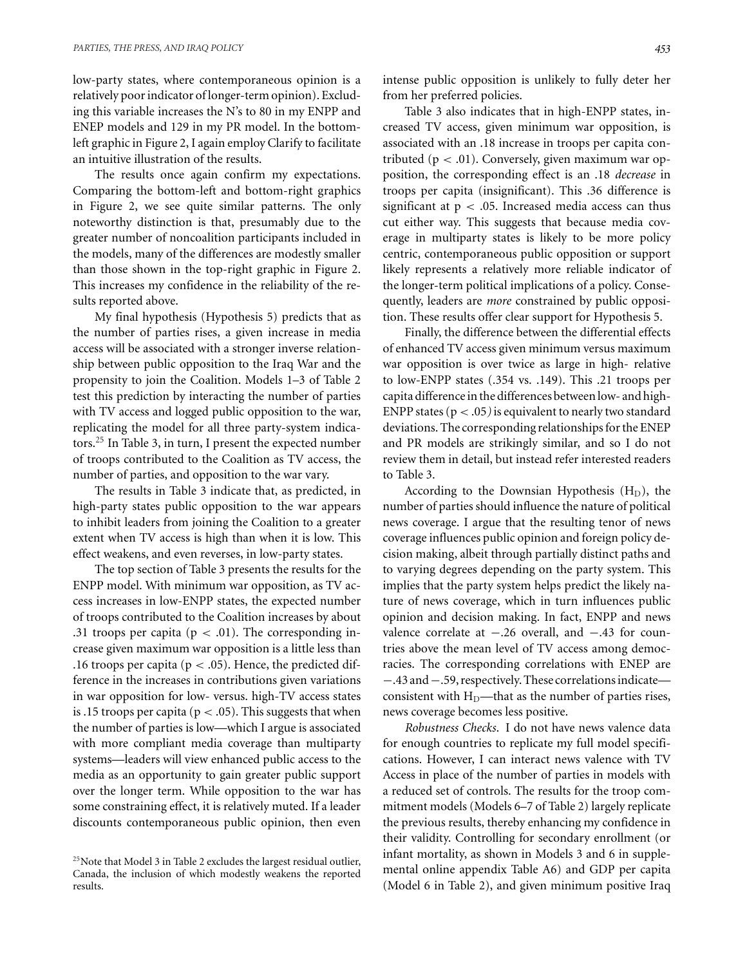low-party states, where contemporaneous opinion is a relatively poor indicator of longer-term opinion). Excluding this variable increases the N's to 80 in my ENPP and ENEP models and 129 in my PR model. In the bottomleft graphic in Figure 2, I again employ Clarify to facilitate an intuitive illustration of the results.

The results once again confirm my expectations. Comparing the bottom-left and bottom-right graphics in Figure 2, we see quite similar patterns. The only noteworthy distinction is that, presumably due to the greater number of noncoalition participants included in the models, many of the differences are modestly smaller than those shown in the top-right graphic in Figure 2. This increases my confidence in the reliability of the results reported above.

My final hypothesis (Hypothesis 5) predicts that as the number of parties rises, a given increase in media access will be associated with a stronger inverse relationship between public opposition to the Iraq War and the propensity to join the Coalition. Models 1–3 of Table 2 test this prediction by interacting the number of parties with TV access and logged public opposition to the war, replicating the model for all three party-system indicators.<sup>25</sup> In Table 3, in turn, I present the expected number of troops contributed to the Coalition as TV access, the number of parties, and opposition to the war vary.

The results in Table 3 indicate that, as predicted, in high-party states public opposition to the war appears to inhibit leaders from joining the Coalition to a greater extent when TV access is high than when it is low. This effect weakens, and even reverses, in low-party states.

The top section of Table 3 presents the results for the ENPP model. With minimum war opposition, as TV access increases in low-ENPP states, the expected number of troops contributed to the Coalition increases by about .31 troops per capita ( $p < .01$ ). The corresponding increase given maximum war opposition is a little less than .16 troops per capita ( $p < .05$ ). Hence, the predicted difference in the increases in contributions given variations in war opposition for low- versus. high-TV access states is .15 troops per capita ( $p < .05$ ). This suggests that when the number of parties is low—which I argue is associated with more compliant media coverage than multiparty systems—leaders will view enhanced public access to the media as an opportunity to gain greater public support over the longer term. While opposition to the war has some constraining effect, it is relatively muted. If a leader discounts contemporaneous public opinion, then even

intense public opposition is unlikely to fully deter her from her preferred policies.

Table 3 also indicates that in high-ENPP states, increased TV access, given minimum war opposition, is associated with an .18 increase in troops per capita contributed  $(p < .01)$ . Conversely, given maximum war opposition, the corresponding effect is an .18 *decrease* in troops per capita (insignificant). This .36 difference is significant at  $p < .05$ . Increased media access can thus cut either way. This suggests that because media coverage in multiparty states is likely to be more policy centric, contemporaneous public opposition or support likely represents a relatively more reliable indicator of the longer-term political implications of a policy. Consequently, leaders are *more* constrained by public opposition. These results offer clear support for Hypothesis 5.

Finally, the difference between the differential effects of enhanced TV access given minimum versus maximum war opposition is over twice as large in high- relative to low-ENPP states (.354 vs. .149). This .21 troops per capita difference in the differences between low- and high-ENPP states ( $p < .05$ ) is equivalent to nearly two standard deviations. The corresponding relationships for the ENEP and PR models are strikingly similar, and so I do not review them in detail, but instead refer interested readers to Table 3.

According to the Downsian Hypothesis  $(H<sub>D</sub>)$ , the number of parties should influence the nature of political news coverage. I argue that the resulting tenor of news coverage influences public opinion and foreign policy decision making, albeit through partially distinct paths and to varying degrees depending on the party system. This implies that the party system helps predict the likely nature of news coverage, which in turn influences public opinion and decision making. In fact, ENPP and news valence correlate at −.26 overall, and −.43 for countries above the mean level of TV access among democracies. The corresponding correlations with ENEP are −.43 and−.59, respectively. These correlationsindicate consistent with  $H_D$ —that as the number of parties rises, news coverage becomes less positive.

*Robustness Checks*. I do not have news valence data for enough countries to replicate my full model specifications. However, I can interact news valence with TV Access in place of the number of parties in models with a reduced set of controls. The results for the troop commitment models (Models 6–7 of Table 2) largely replicate the previous results, thereby enhancing my confidence in their validity. Controlling for secondary enrollment (or infant mortality, as shown in Models 3 and 6 in supplemental online appendix Table A6) and GDP per capita (Model 6 in Table 2), and given minimum positive Iraq

 $25$ Note that Model 3 in Table 2 excludes the largest residual outlier, Canada, the inclusion of which modestly weakens the reported results.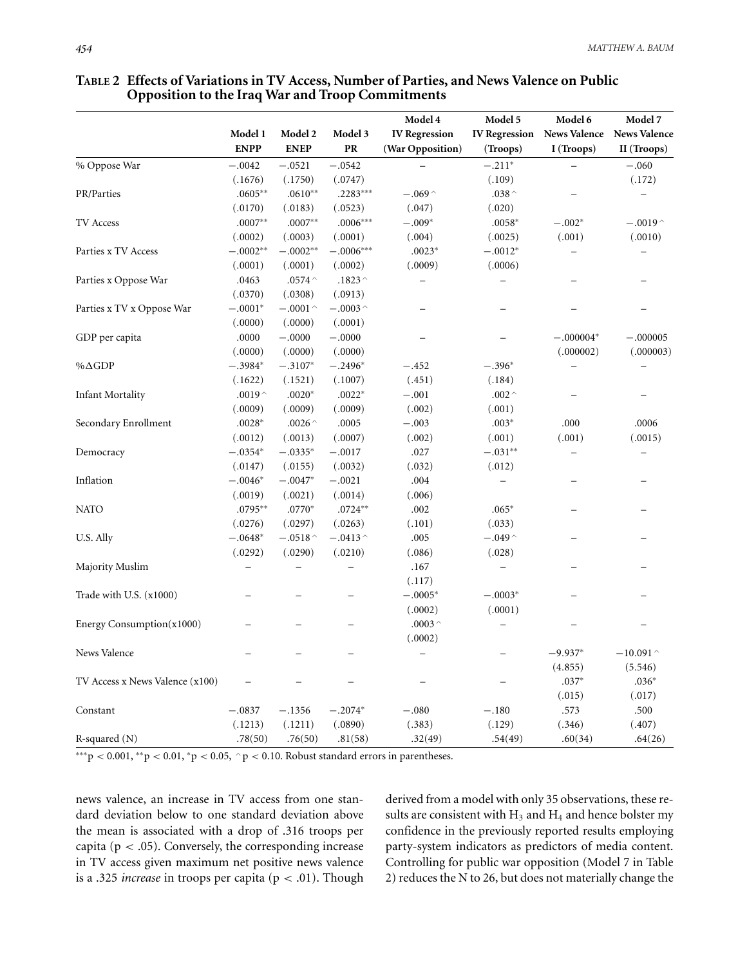|                                 |                   |                       |                       | Model 4              | Model 5       | Model 6                                 | Model 7     |
|---------------------------------|-------------------|-----------------------|-----------------------|----------------------|---------------|-----------------------------------------|-------------|
|                                 | Model 1           | Model 2               | Model 3               | <b>IV Regression</b> |               | IV Regression News Valence News Valence |             |
|                                 | <b>ENPP</b>       | <b>ENEP</b>           | ${\bf PR}$            | (War Opposition)     | (Troops)      | I (Troops)                              | II (Troops) |
| % Oppose War                    | $-.0042$          | $-.0521$              | $-.0542$              |                      | $-.211*$      |                                         | $-.060$     |
|                                 | (.1676)           | (.1750)               | (.0747)               |                      | (.109)        |                                         | (.172)      |
| PR/Parties                      | $.0605**$         | $.0610**$             | .2283***              | $-.0690$             | .038 $\hat{}$ |                                         |             |
|                                 | (.0170)           | (.0183)               | (.0523)               | (.047)               | (.020)        |                                         |             |
| TV Access                       | $.0007**$         | $.0007**$             | $.0006***$            | $-.009*$             | $.0058*$      | $-.002*$                                | $-.0019$    |
|                                 | (.0002)           | (.0003)               | (.0001)               | (.004)               | (.0025)       | (.001)                                  | (.0010)     |
| Parties x TV Access             | $-.0002**$        | $-.0002**$            | $-.0006***$           | $.0023*$             | $-.0012*$     |                                         |             |
|                                 | (.0001)           | (.0001)               | (.0002)               | (.0009)              | (.0006)       |                                         |             |
| Parties x Oppose War            | .0463             | $.0574 \, \hat{}$     | .1823 $\hat{ }$       |                      |               |                                         |             |
|                                 | (.0370)           | (.0308)               | (.0913)               |                      |               |                                         |             |
| Parties x TV x Oppose War       | $-.0001*$         | $-.0001^{\,\wedge}\,$ | $-.0003^{\,\wedge}\,$ |                      |               |                                         |             |
|                                 | (.0000)           | (.0000)               | (.0001)               |                      |               |                                         |             |
| GDP per capita                  | .0000             | $-.0000$              | $-.0000$              |                      |               | $-.000004*$                             | $-.000005$  |
|                                 | (.0000)           | (.0000)               | (.0000)               |                      |               | (.000002)                               | (.000003)   |
| $% \triangle$ GDP               | $-.3984*$         | $-.3107*$             | $-.2496*$             | $-.452$              | $-.396*$      |                                         |             |
|                                 | (.1622)           | (.1521)               | (.1007)               | (.451)               | (.184)        |                                         |             |
| <b>Infant Mortality</b>         | $.0019 \, \hat{}$ | $.0020*$              | $.0022*$              | $-.001$              | .002 $^\sim$  |                                         |             |
|                                 | (.0009)           | (.0009)               | (.0009)               | (.002)               | (.001)        |                                         |             |
| Secondary Enrollment            | $.0028*$          | .0026 $\hat{}$        | .0005                 | $-.003$              | $.003*$       | .000                                    | .0006       |
|                                 | (.0012)           | (.0013)               | (.0007)               | (.002)               | (.001)        | (.001)                                  | (.0015)     |
| Democracy                       | $-.0354*$         | $-.0335*$             | $-.0017$              | .027                 | $-.031**$     |                                         |             |
|                                 | (.0147)           | (.0155)               | (.0032)               | (.032)               | (.012)        |                                         |             |
| Inflation                       | $-.0046*$         | $-.0047*$             | $-.0021$              | .004                 |               |                                         |             |
|                                 | (.0019)           | (.0021)               | (.0014)               | (.006)               |               |                                         |             |
| <b>NATO</b>                     | $.0795**$         | $.0770*$              | $.0724**$             | .002                 | $.065*$       |                                         |             |
|                                 | (.0276)           | (.0297)               | (.0263)               | (.101)               | (.033)        |                                         |             |
| U.S. Ally                       | $-.0648*$         | $-.0518^{\,\wedge}$   | $-.0413$ ^            | .005                 | $-.049$       |                                         |             |
|                                 | (.0292)           | (.0290)               | (.0210)               | (.086)               | (.028)        |                                         |             |
| Majority Muslim                 |                   |                       |                       | .167                 | $\equiv$      |                                         |             |
|                                 |                   |                       |                       | (.117)               |               |                                         |             |
| Trade with U.S. (x1000)         |                   |                       |                       | $-.0005*$            | $-.0003*$     |                                         |             |
|                                 |                   |                       |                       | (.0002)              | (.0001)       |                                         |             |
| Energy Consumption(x1000)       |                   |                       |                       | .0003 $^\sim$        |               |                                         |             |
|                                 |                   |                       |                       | (.0002)              |               |                                         |             |
| News Valence                    |                   |                       |                       | $\qquad \qquad -$    |               | $-9.937*$                               | $-10.091$ ^ |
|                                 |                   |                       |                       |                      |               | (4.855)                                 | (5.546)     |
| TV Access x News Valence (x100) |                   |                       |                       |                      |               | $.037*$                                 | $.036*$     |
|                                 |                   |                       |                       |                      |               | (.015)                                  | (.017)      |
| Constant                        | $-.0837$          | $-.1356$              | $-.2074*$             | $-.080$              | $-.180$       | .573                                    | .500        |
|                                 | (.1213)           | (.1211)               | (.0890)               | (.383)               | (.129)        | (.346)                                  | (.407)      |
| R-squared (N)                   | .78(50)           | .76(50)               | .81(58)               | .32(49)              | .54(49)       | .60(34)                                 | .64(26)     |

**TABLE 2 Effects of Variations in TV Access, Number of Parties, and News Valence on Public Opposition to the Iraq War and Troop Commitments**

 $^{***}\text{p}$  < 0.001,  $^{**}\text{p}$  < 0.01,  $^{*}\text{p}$  < 0.05, ^ p < 0.10. Robust standard errors in parentheses.

news valence, an increase in TV access from one standard deviation below to one standard deviation above the mean is associated with a drop of .316 troops per capita ( $p < .05$ ). Conversely, the corresponding increase in TV access given maximum net positive news valence is a .325 *increase* in troops per capita (p < .01). Though derived from a model with only 35 observations, these results are consistent with  $H_3$  and  $H_4$  and hence bolster my confidence in the previously reported results employing party-system indicators as predictors of media content. Controlling for public war opposition (Model 7 in Table 2) reduces the N to 26, but does not materially change the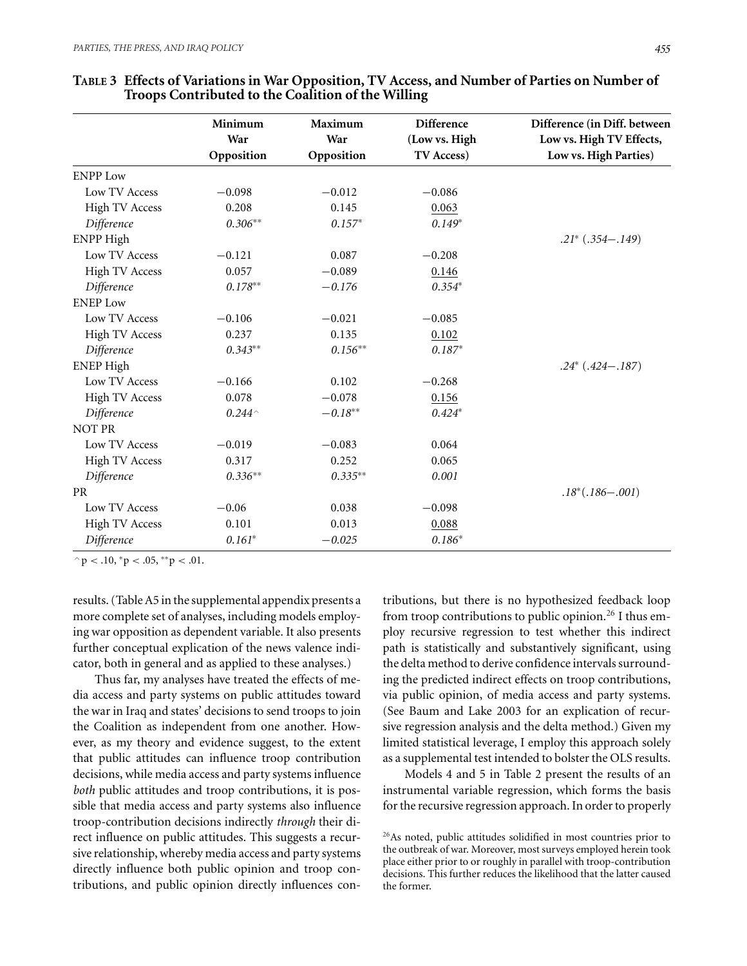|                       | Minimum<br>War     | Maximum<br>War | Difference<br>(Low vs. High | Difference (in Diff. between<br>Low vs. High TV Effects, |
|-----------------------|--------------------|----------------|-----------------------------|----------------------------------------------------------|
|                       | Opposition         | Opposition     | <b>TV Access)</b>           | Low vs. High Parties)                                    |
| <b>ENPP Low</b>       |                    |                |                             |                                                          |
| Low TV Access         | $-0.098$           | $-0.012$       | $-0.086$                    |                                                          |
| <b>High TV Access</b> | 0.208              | 0.145          | 0.063                       |                                                          |
| Difference            | $0.306^{\ast\ast}$ | $0.157*$       | $0.149*$                    |                                                          |
| <b>ENPP High</b>      |                    |                |                             | $.21^*$ ( $.354-.149$ )                                  |
| Low TV Access         | $-0.121$           | 0.087          | $-0.208$                    |                                                          |
| <b>High TV Access</b> | 0.057              | $-0.089$       | 0.146                       |                                                          |
| Difference            | $0.178**$          | $-0.176$       | $0.354*$                    |                                                          |
| <b>ENEP Low</b>       |                    |                |                             |                                                          |
| Low TV Access         | $-0.106$           | $-0.021$       | $-0.085$                    |                                                          |
| <b>High TV Access</b> | 0.237              | 0.135          | 0.102                       |                                                          |
| Difference            | $0.343**$          | $0.156**$      | $0.187*$                    |                                                          |
| <b>ENEP High</b>      |                    |                |                             | $.24^*$ (.424 - .187)                                    |
| Low TV Access         | $-0.166$           | 0.102          | $-0.268$                    |                                                          |
| <b>High TV Access</b> | 0.078              | $-0.078$       | 0.156                       |                                                          |
| Difference            | $0.244^{\,\wedge}$ | $-0.18**$      | $0.424*$                    |                                                          |
| NOT PR                |                    |                |                             |                                                          |
| Low TV Access         | $-0.019$           | $-0.083$       | 0.064                       |                                                          |
| <b>High TV Access</b> | 0.317              | 0.252          | 0.065                       |                                                          |
| Difference            | $0.336**$          | $0.335**$      | 0.001                       |                                                          |
| <b>PR</b>             |                    |                |                             | $.18^*(.186 - .001)$                                     |
| Low TV Access         | $-0.06$            | 0.038          | $-0.098$                    |                                                          |
| <b>High TV Access</b> | 0.101              | 0.013          | 0.088                       |                                                          |
| Difference            | $0.161*$           | $-0.025$       | $0.186*$                    |                                                          |

| TABLE 3 Effects of Variations in War Opposition, TV Access, and Number of Parties on Number of |
|------------------------------------------------------------------------------------------------|
| Troops Contributed to the Coalition of the Willing                                             |

 $\gamma$   $p$  < .10,  $\gamma$  p < .05,  $\gamma$  + p < .01.

results. (Table A5 in the supplemental appendix presents a more complete set of analyses, including models employing war opposition as dependent variable. It also presents further conceptual explication of the news valence indicator, both in general and as applied to these analyses.)

Thus far, my analyses have treated the effects of media access and party systems on public attitudes toward the war in Iraq and states' decisions to send troops to join the Coalition as independent from one another. However, as my theory and evidence suggest, to the extent that public attitudes can influence troop contribution decisions, while media access and party systems influence *both* public attitudes and troop contributions, it is possible that media access and party systems also influence troop-contribution decisions indirectly *through* their direct influence on public attitudes. This suggests a recursive relationship, whereby media access and party systems directly influence both public opinion and troop contributions, and public opinion directly influences contributions, but there is no hypothesized feedback loop from troop contributions to public opinion.<sup>26</sup> I thus employ recursive regression to test whether this indirect path is statistically and substantively significant, using the delta method to derive confidence intervals surrounding the predicted indirect effects on troop contributions, via public opinion, of media access and party systems. (See Baum and Lake 2003 for an explication of recursive regression analysis and the delta method.) Given my limited statistical leverage, I employ this approach solely as a supplemental test intended to bolster the OLS results.

Models 4 and 5 in Table 2 present the results of an instrumental variable regression, which forms the basis for the recursive regression approach. In order to properly

 $26$ As noted, public attitudes solidified in most countries prior to the outbreak of war. Moreover, most surveys employed herein took place either prior to or roughly in parallel with troop-contribution decisions. This further reduces the likelihood that the latter caused the former.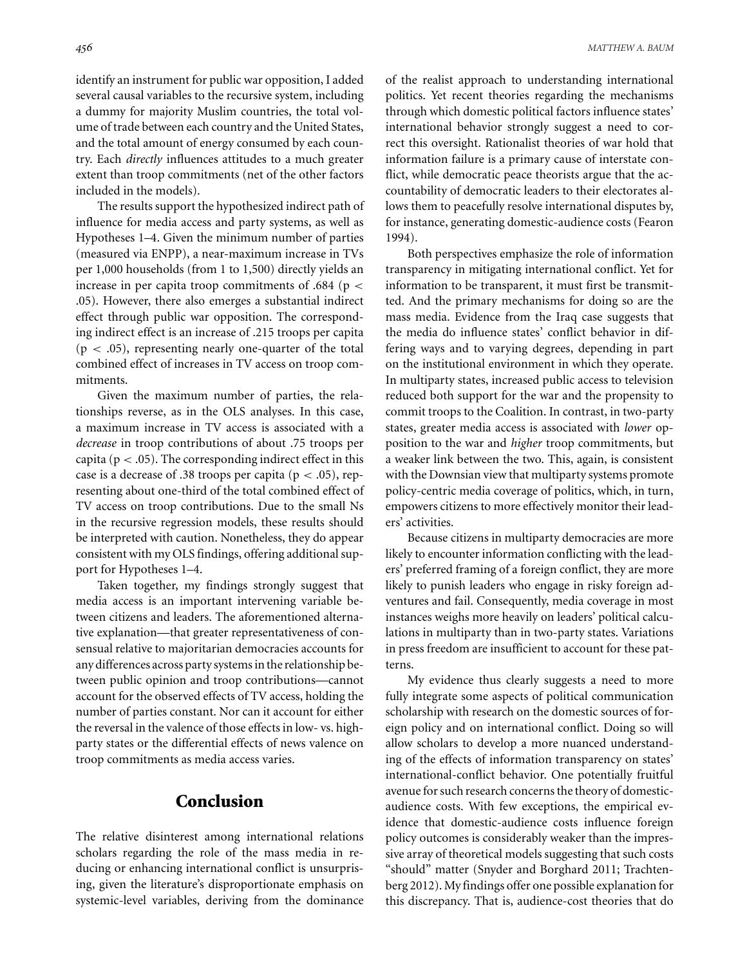identify an instrument for public war opposition, I added several causal variables to the recursive system, including a dummy for majority Muslim countries, the total volume of trade between each country and the United States, and the total amount of energy consumed by each country. Each *directly* influences attitudes to a much greater extent than troop commitments (net of the other factors included in the models).

The results support the hypothesized indirect path of influence for media access and party systems, as well as Hypotheses 1–4. Given the minimum number of parties (measured via ENPP), a near-maximum increase in TVs per 1,000 households (from 1 to 1,500) directly yields an increase in per capita troop commitments of .684 ( $p <$ .05). However, there also emerges a substantial indirect effect through public war opposition. The corresponding indirect effect is an increase of .215 troops per capita  $(p < .05)$ , representing nearly one-quarter of the total combined effect of increases in TV access on troop commitments.

Given the maximum number of parties, the relationships reverse, as in the OLS analyses. In this case, a maximum increase in TV access is associated with a *decrease* in troop contributions of about .75 troops per capita ( $p < .05$ ). The corresponding indirect effect in this case is a decrease of .38 troops per capita ( $p < .05$ ), representing about one-third of the total combined effect of TV access on troop contributions. Due to the small Ns in the recursive regression models, these results should be interpreted with caution. Nonetheless, they do appear consistent with my OLS findings, offering additional support for Hypotheses 1–4.

Taken together, my findings strongly suggest that media access is an important intervening variable between citizens and leaders. The aforementioned alternative explanation—that greater representativeness of consensual relative to majoritarian democracies accounts for any differences across party systems in the relationship between public opinion and troop contributions—cannot account for the observed effects of TV access, holding the number of parties constant. Nor can it account for either the reversal in the valence of those effects in low- vs. highparty states or the differential effects of news valence on troop commitments as media access varies.

## **Conclusion**

The relative disinterest among international relations scholars regarding the role of the mass media in reducing or enhancing international conflict is unsurprising, given the literature's disproportionate emphasis on systemic-level variables, deriving from the dominance of the realist approach to understanding international politics. Yet recent theories regarding the mechanisms through which domestic political factors influence states' international behavior strongly suggest a need to correct this oversight. Rationalist theories of war hold that information failure is a primary cause of interstate conflict, while democratic peace theorists argue that the accountability of democratic leaders to their electorates allows them to peacefully resolve international disputes by, for instance, generating domestic-audience costs (Fearon 1994).

Both perspectives emphasize the role of information transparency in mitigating international conflict. Yet for information to be transparent, it must first be transmitted. And the primary mechanisms for doing so are the mass media. Evidence from the Iraq case suggests that the media do influence states' conflict behavior in differing ways and to varying degrees, depending in part on the institutional environment in which they operate. In multiparty states, increased public access to television reduced both support for the war and the propensity to commit troops to the Coalition. In contrast, in two-party states, greater media access is associated with *lower* opposition to the war and *higher* troop commitments, but a weaker link between the two. This, again, is consistent with the Downsian view that multiparty systems promote policy-centric media coverage of politics, which, in turn, empowers citizens to more effectively monitor their leaders' activities.

Because citizens in multiparty democracies are more likely to encounter information conflicting with the leaders' preferred framing of a foreign conflict, they are more likely to punish leaders who engage in risky foreign adventures and fail. Consequently, media coverage in most instances weighs more heavily on leaders' political calculations in multiparty than in two-party states. Variations in press freedom are insufficient to account for these patterns.

My evidence thus clearly suggests a need to more fully integrate some aspects of political communication scholarship with research on the domestic sources of foreign policy and on international conflict. Doing so will allow scholars to develop a more nuanced understanding of the effects of information transparency on states' international-conflict behavior. One potentially fruitful avenue for such research concerns the theory of domesticaudience costs. With few exceptions, the empirical evidence that domestic-audience costs influence foreign policy outcomes is considerably weaker than the impressive array of theoretical models suggesting that such costs "should" matter (Snyder and Borghard 2011; Trachtenberg 2012). My findings offer one possible explanation for this discrepancy. That is, audience-cost theories that do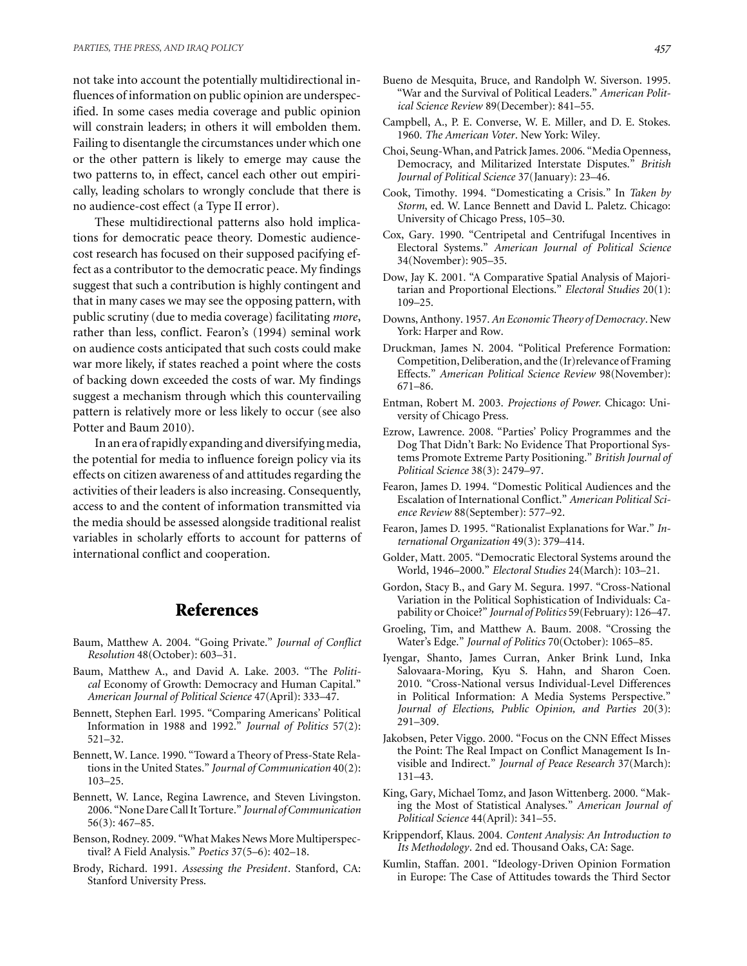not take into account the potentially multidirectional influences of information on public opinion are underspecified. In some cases media coverage and public opinion will constrain leaders; in others it will embolden them. Failing to disentangle the circumstances under which one or the other pattern is likely to emerge may cause the two patterns to, in effect, cancel each other out empirically, leading scholars to wrongly conclude that there is no audience-cost effect (a Type II error).

These multidirectional patterns also hold implications for democratic peace theory. Domestic audiencecost research has focused on their supposed pacifying effect as a contributor to the democratic peace. My findings suggest that such a contribution is highly contingent and that in many cases we may see the opposing pattern, with public scrutiny (due to media coverage) facilitating *more*, rather than less, conflict. Fearon's (1994) seminal work on audience costs anticipated that such costs could make war more likely, if states reached a point where the costs of backing down exceeded the costs of war. My findings suggest a mechanism through which this countervailing pattern is relatively more or less likely to occur (see also Potter and Baum 2010).

In an era of rapidly expanding and diversifying media, the potential for media to influence foreign policy via its effects on citizen awareness of and attitudes regarding the activities of their leaders is also increasing. Consequently, access to and the content of information transmitted via the media should be assessed alongside traditional realist variables in scholarly efforts to account for patterns of international conflict and cooperation.

## **References**

- Baum, Matthew A. 2004. "Going Private." *Journal of Conflict Resolution* 48(October): 603–31.
- Baum, Matthew A., and David A. Lake. 2003. "The *Political* Economy of Growth: Democracy and Human Capital." *American Journal of Political Science* 47(April): 333–47.
- Bennett, Stephen Earl. 1995. "Comparing Americans' Political Information in 1988 and 1992." *Journal of Politics* 57(2): 521–32.
- Bennett, W. Lance. 1990. "Toward a Theory of Press-State Relations in the United States." *Journal of Communication* 40(2): 103–25.
- Bennett, W. Lance, Regina Lawrence, and Steven Livingston. 2006. "None Dare Call It Torture." *Journal of Communication* 56(3): 467–85.
- Benson, Rodney. 2009. "What Makes News More Multiperspectival? A Field Analysis." *Poetics* 37(5–6): 402–18.
- Brody, Richard. 1991. *Assessing the President*. Stanford, CA: Stanford University Press.
- Bueno de Mesquita, Bruce, and Randolph W. Siverson. 1995. "War and the Survival of Political Leaders." *American Political Science Review* 89(December): 841–55.
- Campbell, A., P. E. Converse, W. E. Miller, and D. E. Stokes. 1960. *The American Voter*. New York: Wiley.
- Choi, Seung-Whan, and Patrick James. 2006. "Media Openness, Democracy, and Militarized Interstate Disputes." *British Journal of Political Science* 37(January): 23–46.
- Cook, Timothy. 1994. "Domesticating a Crisis." In *Taken by Storm*, ed. W. Lance Bennett and David L. Paletz. Chicago: University of Chicago Press, 105–30.
- Cox, Gary. 1990. "Centripetal and Centrifugal Incentives in Electoral Systems." *American Journal of Political Science* 34(November): 905–35.
- Dow, Jay K. 2001. "A Comparative Spatial Analysis of Majoritarian and Proportional Elections." *Electoral Studies* 20(1): 109–25.
- Downs, Anthony. 1957.*An Economic Theory of Democracy*. New York: Harper and Row.
- Druckman, James N. 2004. "Political Preference Formation: Competition, Deliberation, and the (Ir)relevance of Framing Effects." *American Political Science Review* 98(November): 671–86.
- Entman, Robert M. 2003. *Projections of Power.* Chicago: University of Chicago Press.
- Ezrow, Lawrence. 2008. "Parties' Policy Programmes and the Dog That Didn't Bark: No Evidence That Proportional Systems Promote Extreme Party Positioning." *British Journal of Political Science* 38(3): 2479–97.
- Fearon, James D. 1994. "Domestic Political Audiences and the Escalation of International Conflict." *American Political Science Review* 88(September): 577–92.
- Fearon, James D. 1995. "Rationalist Explanations for War." *International Organization* 49(3): 379–414.
- Golder, Matt. 2005. "Democratic Electoral Systems around the World, 1946–2000." *Electoral Studies* 24(March): 103–21.
- Gordon, Stacy B., and Gary M. Segura. 1997. "Cross-National Variation in the Political Sophistication of Individuals: Capability or Choice?" *Journal of Politics* 59(February): 126–47.
- Groeling, Tim, and Matthew A. Baum. 2008. "Crossing the Water's Edge." *Journal of Politics* 70(October): 1065–85.
- Iyengar, Shanto, James Curran, Anker Brink Lund, Inka Salovaara-Moring, Kyu S. Hahn, and Sharon Coen. 2010. "Cross-National versus Individual-Level Differences in Political Information: A Media Systems Perspective." *Journal of Elections, Public Opinion, and Parties* 20(3): 291–309.
- Jakobsen, Peter Viggo. 2000. "Focus on the CNN Effect Misses the Point: The Real Impact on Conflict Management Is Invisible and Indirect." *Journal of Peace Research* 37(March): 131–43.
- King, Gary, Michael Tomz, and Jason Wittenberg. 2000. "Making the Most of Statistical Analyses." *American Journal of Political Science* 44(April): 341–55.
- Krippendorf, Klaus. 2004. *Content Analysis: An Introduction to Its Methodology*. 2nd ed. Thousand Oaks, CA: Sage.
- Kumlin, Staffan. 2001. "Ideology-Driven Opinion Formation in Europe: The Case of Attitudes towards the Third Sector